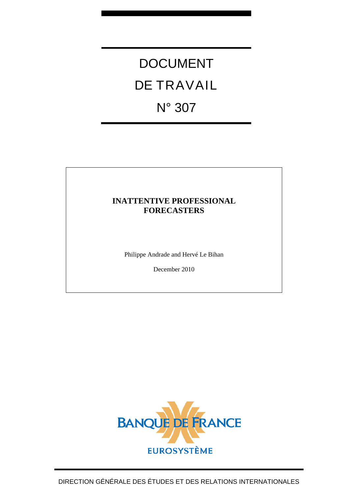# DOCUMENT DE TRAVAIL N° 307

## **INATTENTIVE PROFESSIONAL FORECASTERS**

Philippe Andrade and Hervé Le Bihan

December 2010

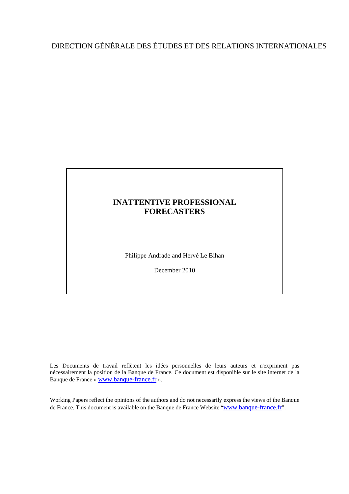## DIRECTION GÉNÉRALE DES ÉTUDES ET DES RELATIONS INTERNATIONALES

## **INATTENTIVE PROFESSIONAL FORECASTERS**

Philippe Andrade and Hervé Le Bihan

December 2010

Les Documents de travail reflètent les idées personnelles de leurs auteurs et n'expriment pas nécessairement la position de la Banque de France. Ce document est disponible sur le site internet de la Banque de France « [www.banque-france.fr](http://www.banque-france.fr/) ».

Working Papers reflect the opinions of the authors and do not necessarily express the views of the Banque de France. This document is available on the Banque de France Website "[www.banque-france.fr](http://www.banque-france.fr/)".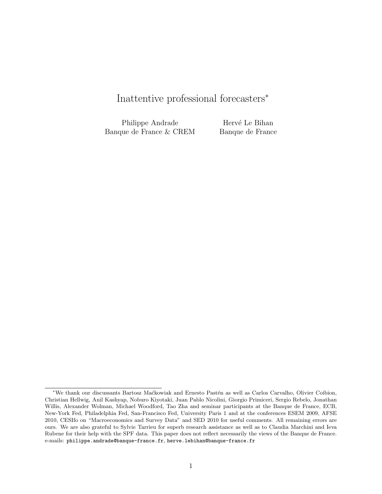# Inattentive professional forecasters<sup>∗</sup>

Philippe Andrade Banque de France & CREM

Hervé Le Bihan Banque de France

<sup>∗</sup>We thank our discussants Bartosz Ma´ckowiak and Ernesto Past´en as well as Carlos Carvalho, Olivier Coibion, Christian Hellwig, Anil Kashyap, Noburo Kiyotaki, Juan Pablo Nicolini, Giorgio Primiceri, Sergio Rebelo, Jonathan Willis, Alexander Wolman, Michael Woodford, Tao Zha and seminar participants at the Banque de France, ECB, New-York Fed, Philadelphia Fed, San-Francisco Fed, University Paris 1 and at the conferences ESEM 2009, AFSE 2010, CESIfo on "Macroeconomics and Survey Data" and SED 2010 for useful comments. All remaining errors are ours. We are also grateful to Sylvie Tarrieu for superb research assistance as well as to Claudia Marchini and Ieva Rubene for their help with the SPF data. This paper does not reflect necessarily the views of the Banque de France. e-mails: philippe.andrade@banque-france.fr, herve.lebihan@banque-france.fr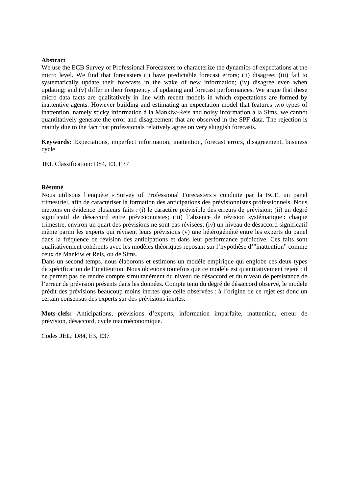#### **Abstract**

We use the ECB Survey of Professional Forecasters to characterize the dynamics of expectations at the micro level. We find that forecasters (i) have predictable forecast errors; (ii) disagree; (iii) fail to systematically update their forecasts in the wake of new information; (iv) disagree even when updating; and (v) differ in their frequency of updating and forecast performances. We argue that these micro data facts are qualitatively in line with recent models in which expectations are formed by inattentive agents. However building and estimating an expectation model that features two types of inattention, namely sticky information à la Mankiw-Reis and noisy information à la Sims, we cannot quantitatively generate the error and disagreement that are observed in the SPF data. The rejection is mainly due to the fact that professionals relatively agree on very sluggish forecasts.

**Keywords:** Expectations, imperfect information, inattention, forecast errors, disagreement, business cycle

**JEL** Classification: D84, E3, E37

#### **Résumé**

Nous utilisons l'enquête « Survey of Professional Forecasters » conduite par la BCE, un panel trimestriel, afin de caractériser la formation des anticipations des prévisionnistes professionnels. Nous mettons en évidence plusieurs faits : (i) le caractère prévisible des erreurs de prévision; (ii) un degré significatif de désaccord entre prévisionnistes; (iii) l'absence de révision systématique : chaque trimestre, environ un quart des prévisions ne sont pas révisées; (iv) un niveau de désaccord significatif même parmi les experts qui révisent leurs prévisions (v) une hétérogénéité entre les experts du panel dans la fréquence de révision des anticipations et dans leur performance prédictive. Ces faits sont qualitativement cohérents avec les modèles théoriques reposant sur l'hypothèse d'"inattention" comme ceux de Mankiw et Reis, ou de Sims.

Dans un second temps, nous élaborons et estimons un modèle empirique qui englobe ces deux types de spécification de l'inattention. Nous obtenons toutefois que ce modèle est quantitativement rejeté : il ne permet pas de rendre compte simultanément du niveau de désaccord et du niveau de persistance de l'erreur de prévision présents dans les données. Compte tenu du degré de désaccord observé, le modèle prédit des prévisions beaucoup moins inertes que celle observées : à l'origine de ce rejet est donc un certain consensus des experts sur des prévisions inertes.

**Mots-clefs:** Anticipations, prévisions d'experts, information imparfaite, inattention, erreur de prévision, désaccord, cycle macroéconomique.

Codes **JEL**: D84, E3, E37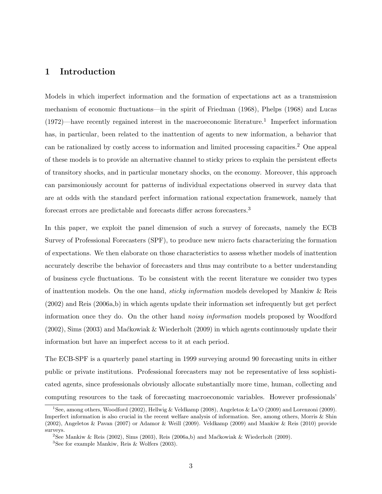## 1 Introduction

Models in which imperfect information and the formation of expectations act as a transmission mechanism of economic fluctuations—in the spirit of Friedman (1968), Phelps (1968) and Lucas (1972)—have recently regained interest in the macroeconomic literature.<sup>1</sup> Imperfect information has, in particular, been related to the inattention of agents to new information, a behavior that can be rationalized by costly access to information and limited processing capacities.<sup>2</sup> One appeal of these models is to provide an alternative channel to sticky prices to explain the persistent effects of transitory shocks, and in particular monetary shocks, on the economy. Moreover, this approach can parsimoniously account for patterns of individual expectations observed in survey data that are at odds with the standard perfect information rational expectation framework, namely that forecast errors are predictable and forecasts differ across forecasters.<sup>3</sup>

In this paper, we exploit the panel dimension of such a survey of forecasts, namely the ECB Survey of Professional Forecasters (SPF), to produce new micro facts characterizing the formation of expectations. We then elaborate on those characteristics to assess whether models of inattention accurately describe the behavior of forecasters and thus may contribute to a better understanding of business cycle fluctuations. To be consistent with the recent literature we consider two types of inattention models. On the one hand, sticky information models developed by Mankiw & Reis (2002) and Reis (2006a,b) in which agents update their information set infrequently but get perfect information once they do. On the other hand *noisy information* models proposed by Woodford (2002), Sims (2003) and Ma´ckowiak & Wiederholt (2009) in which agents continuously update their information but have an imperfect access to it at each period.

The ECB-SPF is a quarterly panel starting in 1999 surveying around 90 forecasting units in either public or private institutions. Professional forecasters may not be representative of less sophisticated agents, since professionals obviously allocate substantially more time, human, collecting and computing resources to the task of forecasting macroeconomic variables. However professionals'

<sup>1</sup>See, among others, Woodford (2002), Hellwig & Veldkamp (2008), Angeletos & La'O (2009) and Lorenzoni (2009). Imperfect information is also crucial in the recent welfare analysis of information. See, among others, Morris & Shin (2002), Angeletos & Pavan (2007) or Adamor & Weill (2009). Veldkamp (2009) and Mankiw & Reis (2010) provide surveys.

<sup>&</sup>lt;sup>2</sup>See Mankiw & Reis (2002), Sims (2003), Reis (2006a,b) and Mackowiak & Wiederholt (2009).

<sup>3</sup>See for example Mankiw, Reis & Wolfers (2003).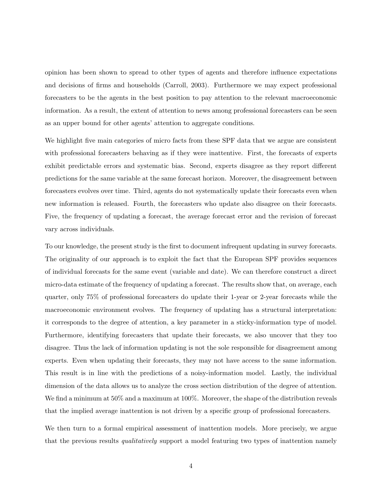opinion has been shown to spread to other types of agents and therefore influence expectations and decisions of firms and households (Carroll, 2003). Furthermore we may expect professional forecasters to be the agents in the best position to pay attention to the relevant macroeconomic information. As a result, the extent of attention to news among professional forecasters can be seen as an upper bound for other agents' attention to aggregate conditions.

We highlight five main categories of micro facts from these SPF data that we argue are consistent with professional forecasters behaving as if they were inattentive. First, the forecasts of experts exhibit predictable errors and systematic bias. Second, experts disagree as they report different predictions for the same variable at the same forecast horizon. Moreover, the disagreement between forecasters evolves over time. Third, agents do not systematically update their forecasts even when new information is released. Fourth, the forecasters who update also disagree on their forecasts. Five, the frequency of updating a forecast, the average forecast error and the revision of forecast vary across individuals.

To our knowledge, the present study is the first to document infrequent updating in survey forecasts. The originality of our approach is to exploit the fact that the European SPF provides sequences of individual forecasts for the same event (variable and date). We can therefore construct a direct micro-data estimate of the frequency of updating a forecast. The results show that, on average, each quarter, only 75% of professional forecasters do update their 1-year or 2-year forecasts while the macroeconomic environment evolves. The frequency of updating has a structural interpretation: it corresponds to the degree of attention, a key parameter in a sticky-information type of model. Furthermore, identifying forecasters that update their forecasts, we also uncover that they too disagree. Thus the lack of information updating is not the sole responsible for disagreement among experts. Even when updating their forecasts, they may not have access to the same information. This result is in line with the predictions of a noisy-information model. Lastly, the individual dimension of the data allows us to analyze the cross section distribution of the degree of attention. We find a minimum at 50% and a maximum at 100%. Moreover, the shape of the distribution reveals that the implied average inattention is not driven by a specific group of professional forecasters.

We then turn to a formal empirical assessment of inattention models. More precisely, we argue that the previous results *qualitatively* support a model featuring two types of inattention namely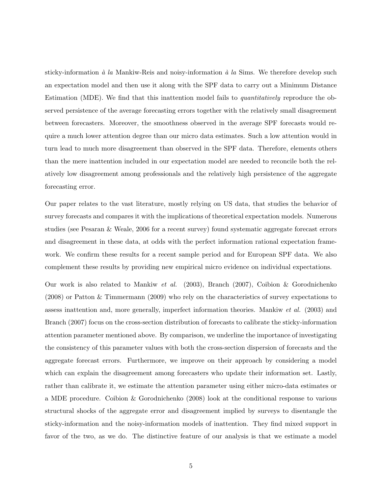sticky-information  $\dot{a}$  la Mankiw-Reis and noisy-information  $\dot{a}$  la Sims. We therefore develop such an expectation model and then use it along with the SPF data to carry out a Minimum Distance Estimation (MDE). We find that this inattention model fails to quantitatively reproduce the observed persistence of the average forecasting errors together with the relatively small disagreement between forecasters. Moreover, the smoothness observed in the average SPF forecasts would require a much lower attention degree than our micro data estimates. Such a low attention would in turn lead to much more disagreement than observed in the SPF data. Therefore, elements others than the mere inattention included in our expectation model are needed to reconcile both the relatively low disagreement among professionals and the relatively high persistence of the aggregate forecasting error.

Our paper relates to the vast literature, mostly relying on US data, that studies the behavior of survey forecasts and compares it with the implications of theoretical expectation models. Numerous studies (see Pesaran & Weale, 2006 for a recent survey) found systematic aggregate forecast errors and disagreement in these data, at odds with the perfect information rational expectation framework. We confirm these results for a recent sample period and for European SPF data. We also complement these results by providing new empirical micro evidence on individual expectations.

Our work is also related to Mankiw et al. (2003), Branch (2007), Coibion & Gorodnichenko (2008) or Patton & Timmermann (2009) who rely on the characteristics of survey expectations to assess inattention and, more generally, imperfect information theories. Mankiw et al. (2003) and Branch (2007) focus on the cross-section distribution of forecasts to calibrate the sticky-information attention parameter mentioned above. By comparison, we underline the importance of investigating the consistency of this parameter values with both the cross-section dispersion of forecasts and the aggregate forecast errors. Furthermore, we improve on their approach by considering a model which can explain the disagreement among forecasters who update their information set. Lastly, rather than calibrate it, we estimate the attention parameter using either micro-data estimates or a MDE procedure. Coibion & Gorodnichenko (2008) look at the conditional response to various structural shocks of the aggregate error and disagreement implied by surveys to disentangle the sticky-information and the noisy-information models of inattention. They find mixed support in favor of the two, as we do. The distinctive feature of our analysis is that we estimate a model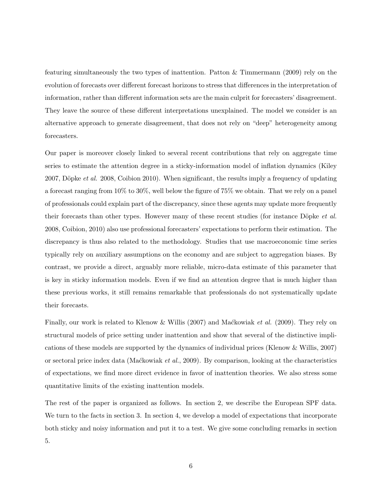featuring simultaneously the two types of inattention. Patton & Timmermann (2009) rely on the evolution of forecasts over different forecast horizons to stress that differences in the interpretation of information, rather than different information sets are the main culprit for forecasters' disagreement. They leave the source of these different interpretations unexplained. The model we consider is an alternative approach to generate disagreement, that does not rely on "deep" heterogeneity among forecasters.

Our paper is moreover closely linked to several recent contributions that rely on aggregate time series to estimate the attention degree in a sticky-information model of inflation dynamics (Kiley 2007, Döpke *et al.* 2008, Coibion 2010). When significant, the results imply a frequency of updating a forecast ranging from 10% to 30%, well below the figure of 75% we obtain. That we rely on a panel of professionals could explain part of the discrepancy, since these agents may update more frequently their forecasts than other types. However many of these recent studies (for instance Döpke *et al.*) 2008, Coibion, 2010) also use professional forecasters' expectations to perform their estimation. The discrepancy is thus also related to the methodology. Studies that use macroeconomic time series typically rely on auxiliary assumptions on the economy and are subject to aggregation biases. By contrast, we provide a direct, arguably more reliable, micro-data estimate of this parameter that is key in sticky information models. Even if we find an attention degree that is much higher than these previous works, it still remains remarkable that professionals do not systematically update their forecasts.

Finally, our work is related to Klenow & Willis (2007) and Mackowiak *et al.* (2009). They rely on structural models of price setting under inattention and show that several of the distinctive implications of these models are supported by the dynamics of individual prices (Klenow & Willis, 2007) or sectoral price index data (Mackowiak *et al.*, 2009). By comparison, looking at the characteristics of expectations, we find more direct evidence in favor of inattention theories. We also stress some quantitative limits of the existing inattention models.

The rest of the paper is organized as follows. In section 2, we describe the European SPF data. We turn to the facts in section 3. In section 4, we develop a model of expectations that incorporate both sticky and noisy information and put it to a test. We give some concluding remarks in section 5.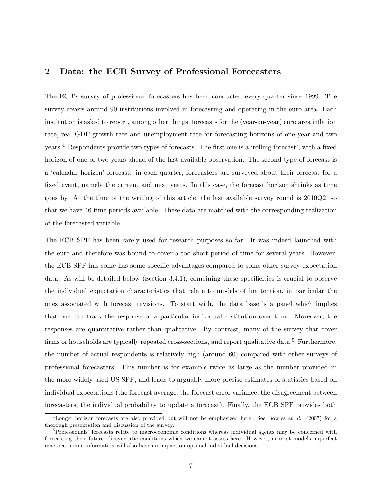## 2 Data: the ECB Survey of Professional Forecasters

The ECB's survey of professional forecasters has been conducted every quarter since 1999. The survey covers around 90 institutions involved in forecasting and operating in the euro area. Each institution is asked to report, among other things, forecasts for the (year-on-year) euro area inflation rate, real GDP growth rate and unemployment rate for forecasting horizons of one year and two years.<sup>4</sup> Respondents provide two types of forecasts. The first one is a 'rolling forecast', with a fixed horizon of one or two years ahead of the last available observation. The second type of forecast is a 'calendar horizon' forecast: in each quarter, forecasters are surveyed about their forecast for a fixed event, namely the current and next years. In this case, the forecast horizon shrinks as time goes by. At the time of the writing of this article, the last available survey round is 2010Q2, so that we have 46 time periods available. These data are matched with the corresponding realization of the forecasted variable.

The ECB SPF has been rarely used for research purposes so far. It was indeed launched with the euro and therefore was bound to cover a too short period of time for several years. However, the ECB SPF has some has some specific advantages compared to some other survey expectation data. As will be detailed below (Section 3.4.1), combining these specificities is crucial to observe the individual expectation characteristics that relate to models of inattention, in particular the ones associated with forecast revisions. To start with, the data base is a panel which implies that one can track the response of a particular individual institution over time. Moreover, the responses are quantitative rather than qualitative. By contrast, many of the survey that cover firms or households are typically repeated cross-sections, and report qualitative data.<sup>5</sup> Furthermore, the number of actual respondents is relatively high (around 60) compared with other surveys of professional forecasters. This number is for example twice as large as the number provided in the more widely used US SPF, and leads to arguably more precise estimates of statistics based on individual expectations (the forecast average, the forecast error variance, the disagreement between forecasters, the individual probability to update a forecast). Finally, the ECB SPF provides both

<sup>&</sup>lt;sup>4</sup>Longer horizon forecasts are also provided but will not be emphasized here. See Bowles *et al.* (2007) for a thorough presentation and discussion of the survey.

<sup>&</sup>lt;sup>5</sup>Professionals' forecasts relate to macroeconomic conditions whereas individual agents may be concerned with forecasting their future idiosyncratic conditions which we cannot assess here. However, in most models imperfect macroeconomic information will also have an impact on optimal individual decisions.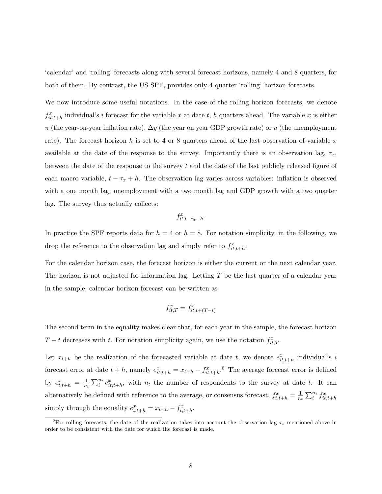'calendar' and 'rolling' forecasts along with several forecast horizons, namely 4 and 8 quarters, for both of them. By contrast, the US SPF, provides only 4 quarter 'rolling' horizon forecasts.

We now introduce some useful notations. In the case of the rolling horizon forecasts, we denote  $f_{it,t+h}^x$  individual's i forecast for the variable x at date t, h quarters ahead. The variable x is either  $\pi$  (the year-on-year inflation rate),  $\Delta y$  (the year on year GDP growth rate) or u (the unemployment rate). The forecast horizon h is set to 4 or 8 quarters ahead of the last observation of variable x available at the date of the response to the survey. Importantly there is an observation lag,  $\tau_x$ , between the date of the response to the survey t and the date of the last publicly released figure of each macro variable,  $t - \tau_x + h$ . The observation lag varies across variables: inflation is observed with a one month lag, unemployment with a two month lag and GDP growth with a two quarter lag. The survey thus actually collects:

$$
f^x_{it,t-\tau_x+h}.
$$

In practice the SPF reports data for  $h = 4$  or  $h = 8$ . For notation simplicity, in the following, we drop the reference to the observation lag and simply refer to  $f_{it,t+h}^x$ .

For the calendar horizon case, the forecast horizon is either the current or the next calendar year. The horizon is not adjusted for information lag. Letting  $T$  be the last quarter of a calendar year in the sample, calendar horizon forecast can be written as

$$
f_{it,T}^x = f_{it,t+(T-t)}^x
$$

The second term in the equality makes clear that, for each year in the sample, the forecast horizon  $T-t$  decreases with t. For notation simplicity again, we use the notation  $f_{it,T}^x$ .

Let  $x_{t+h}$  be the realization of the forecasted variable at date t, we denote  $e_{it,t+h}^x$  individual's i forecast error at date  $t + h$ , namely  $e_{it,t+h}^x = x_{t+h} - f_{it,t+h}^x$ . <sup>6</sup> The average forecast error is defined by  $e_{t,t+h}^x = \frac{1}{n_1}$  $\frac{1}{n_t} \sum_{i=1}^{n_t} e_{it,t+h}^x$ , with  $n_t$  the number of respondents to the survey at date t. It can alternatively be defined with reference to the average, or consensus forecast,  $f_{t,t+h}^x = \frac{1}{n_t}$  $\frac{1}{n_t} \sum_{i}^{n_t} f_{it,t+h}^x$ simply through the equality  $e_{t,t+h}^x = x_{t+h} - f_{t,t+h}^x$ .

<sup>&</sup>lt;sup>6</sup>For rolling forecasts, the date of the realization takes into account the observation lag  $\tau_x$  mentioned above in order to be consistent with the date for which the forecast is made.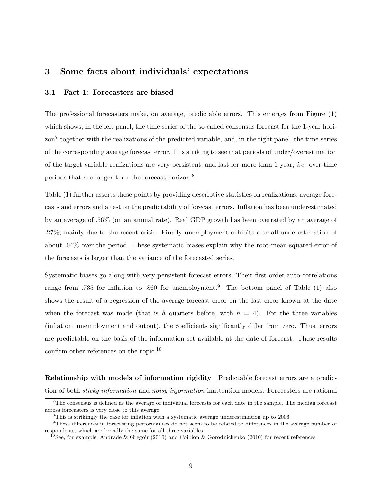## 3 Some facts about individuals' expectations

#### 3.1 Fact 1: Forecasters are biased

The professional forecasters make, on average, predictable errors. This emerges from Figure (1) which shows, in the left panel, the time series of the so-called consensus forecast for the 1-year horizon<sup>7</sup> together with the realizations of the predicted variable, and, in the right panel, the time-series of the corresponding average forecast error. It is striking to see that periods of under/overestimation of the target variable realizations are very persistent, and last for more than  $1$  year, *i.e.* over time periods that are longer than the forecast horizon.<sup>8</sup>

Table (1) further asserts these points by providing descriptive statistics on realizations, average forecasts and errors and a test on the predictability of forecast errors. Inflation has been underestimated by an average of .56% (on an annual rate). Real GDP growth has been overrated by an average of .27%, mainly due to the recent crisis. Finally unemployment exhibits a small underestimation of about .04% over the period. These systematic biases explain why the root-mean-squared-error of the forecasts is larger than the variance of the forecasted series.

Systematic biases go along with very persistent forecast errors. Their first order auto-correlations range from .735 for inflation to .860 for unemployment.<sup>9</sup> The bottom panel of Table (1) also shows the result of a regression of the average forecast error on the last error known at the date when the forecast was made (that is h quarters before, with  $h = 4$ ). For the three variables (inflation, unemployment and output), the coefficients significantly differ from zero. Thus, errors are predictable on the basis of the information set available at the date of forecast. These results confirm other references on the topic.<sup>10</sup>

Relationship with models of information rigidity Predictable forecast errors are a prediction of both sticky information and noisy information inattention models. Forecasters are rational

<sup>7</sup>The consensus is defined as the average of individual forecasts for each date in the sample. The median forecast across forecasters is very close to this average.

<sup>8</sup>This is strikingly the case for inflation with a systematic average underestimation up to 2006.

<sup>&</sup>lt;sup>9</sup>These differences in forecasting performances do not seem to be related to differences in the average number of respondents, which are broadly the same for all three variables.

<sup>&</sup>lt;sup>10</sup>See, for example, Andrade & Gregoir (2010) and Coibion & Gorodnichenko (2010) for recent references.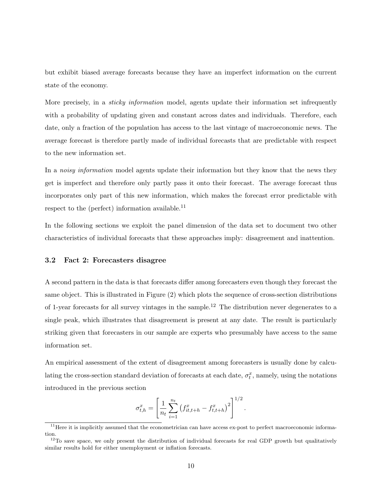but exhibit biased average forecasts because they have an imperfect information on the current state of the economy.

More precisely, in a *sticky information* model, agents update their information set infrequently with a probability of updating given and constant across dates and individuals. Therefore, each date, only a fraction of the population has access to the last vintage of macroeconomic news. The average forecast is therefore partly made of individual forecasts that are predictable with respect to the new information set.

In a *noisy information* model agents update their information but they know that the news they get is imperfect and therefore only partly pass it onto their forecast. The average forecast thus incorporates only part of this new information, which makes the forecast error predictable with respect to the (perfect) information available. $^{11}$ 

In the following sections we exploit the panel dimension of the data set to document two other characteristics of individual forecasts that these approaches imply: disagreement and inattention.

#### 3.2 Fact 2: Forecasters disagree

A second pattern in the data is that forecasts differ among forecasters even though they forecast the same object. This is illustrated in Figure (2) which plots the sequence of cross-section distributions of 1-year forecasts for all survey vintages in the sample.<sup>12</sup> The distribution never degenerates to a single peak, which illustrates that disagreement is present at any date. The result is particularly striking given that forecasters in our sample are experts who presumably have access to the same information set.

An empirical assessment of the extent of disagreement among forecasters is usually done by calculating the cross-section standard deviation of forecasts at each date,  $\sigma_t^x$ , namely, using the notations introduced in the previous section

$$
\sigma_{t,h}^x = \left[ \frac{1}{n_t} \sum_{i=1}^{n_t} \left( f_{it,t+h}^x - f_{t,t+h}^x \right)^2 \right]^{1/2}.
$$

 $11$  Here it is implicitly assumed that the econometrician can have access ex-post to perfect macroeconomic information.

 $12$ To save space, we only present the distribution of individual forecasts for real GDP growth but qualitatively similar results hold for either unemployment or inflation forecasts.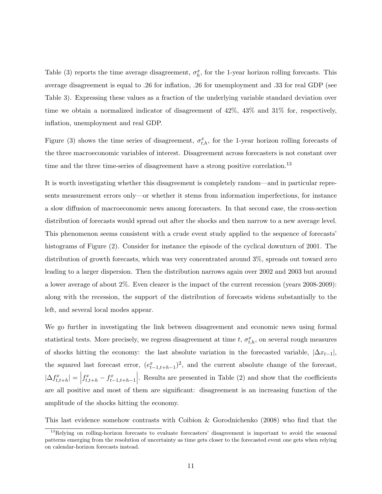Table (3) reports the time average disagreement,  $\sigma_h^x$ , for the 1-year horizon rolling forecasts. This average disagreement is equal to .26 for inflation, .26 for unemployment and .33 for real GDP (see Table 3). Expressing these values as a fraction of the underlying variable standard deviation over time we obtain a normalized indicator of disagreement of 42%, 43% and 31% for, respectively, inflation, unemployment and real GDP.

Figure (3) shows the time series of disagreement,  $\sigma_{t,h}^x$ , for the 1-year horizon rolling forecasts of the three macroeconomic variables of interest. Disagreement across forecasters is not constant over time and the three time-series of disagreement have a strong positive correlation.<sup>13</sup>

It is worth investigating whether this disagreement is completely random—and in particular represents measurement errors only—or whether it stems from information imperfections, for instance a slow diffusion of macroeconomic news among forecasters. In that second case, the cross-section distribution of forecasts would spread out after the shocks and then narrow to a new average level. This phenomenon seems consistent with a crude event study applied to the sequence of forecasts' histograms of Figure (2). Consider for instance the episode of the cyclical downturn of 2001. The distribution of growth forecasts, which was very concentrated around 3%, spreads out toward zero leading to a larger dispersion. Then the distribution narrows again over 2002 and 2003 but around a lower average of about 2%. Even clearer is the impact of the current recession (years 2008-2009): along with the recession, the support of the distribution of forecasts widens substantially to the left, and several local modes appear.

We go further in investigating the link between disagreement and economic news using formal statistical tests. More precisely, we regress disagreement at time  $t$ ,  $\sigma_{t,h}^x$ , on several rough measures of shocks hitting the economy: the last absolute variation in the forecasted variable,  $|\Delta x_{t-1}|$ , the squared last forecast error,  $(e_{t-1,t+h-1}^x)^2$ , and the current absolute change of the forecast,  $|\Delta f_{t,t+h}^x| = |f_{t,t+h}^x - f_{t-1,t+h-1}^x|$ . Results are presented in Table (2) and show that the coefficients are all positive and most of them are significant: disagreement is an increasing function of the amplitude of the shocks hitting the economy.

This last evidence somehow contrasts with Coibion & Gorodnichenko (2008) who find that the

<sup>&</sup>lt;sup>13</sup>Relying on rolling-horizon forecasts to evaluate forecasters' disagreement is important to avoid the seasonal patterns emerging from the resolution of uncertainty as time gets closer to the forecasted event one gets when relying on calendar-horizon forecasts instead.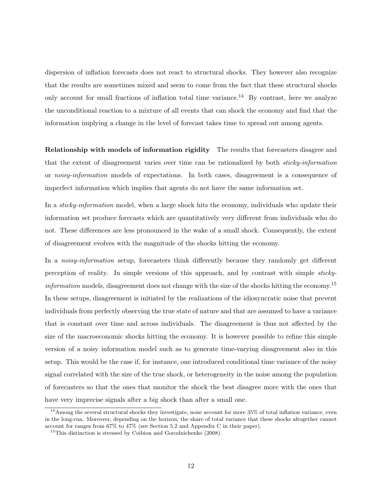dispersion of inflation forecasts does not react to structural shocks. They however also recognize that the results are sometimes mixed and seem to come from the fact that these structural shocks only account for small fractions of inflation total time variance.<sup>14</sup> By contrast, here we analyze the unconditional reaction to a mixture of all events that can shock the economy and find that the information implying a change in the level of forecast takes time to spread out among agents.

Relationship with models of information rigidity The results that forecasters disagree and that the extent of disagreement varies over time can be rationalized by both sticky-information or noisy-information models of expectations. In both cases, disagreement is a consequence of imperfect information which implies that agents do not have the same information set.

In a *sticky-information* model, when a large shock hits the economy, individuals who update their information set produce forecasts which are quantitatively very different from individuals who do not. These differences are less pronounced in the wake of a small shock. Consequently, the extent of disagreement evolves with the magnitude of the shocks hitting the economy.

In a *noisy-information* setup, forecasters think differently because they randomly get different perception of reality. In simple versions of this approach, and by contrast with simple stickyinformation models, disagreement does not change with the size of the shocks hitting the economy.<sup>15</sup> In these setups, disagreement is initiated by the realizations of the idiosyncratic noise that prevent individuals from perfectly observing the true state of nature and that are assumed to have a variance that is constant over time and across individuals. The disagreement is thus not affected by the size of the macroeconomic shocks hitting the economy. It is however possible to refine this simple version of a noisy information model such as to generate time-varying disagreement also in this setup. This would be the case if, for instance, one introduced conditional time variance of the noisy signal correlated with the size of the true shock, or heterogeneity in the noise among the population of forecasters so that the ones that monitor the shock the best disagree more with the ones that have very imprecise signals after a big shock than after a small one.

 $14$ Among the several structural shocks they investigate, none account for more 35% of total inflation variance, even in the long-run. Moreover, depending on the horizon, the share of total variance that these shocks altogether cannot account for ranges from 67% to 47% (see Section 5.2 and Appendix C in their paper).

 $^{15}$ This distinction is stressed by Coibion and Gorodnichenko (2008).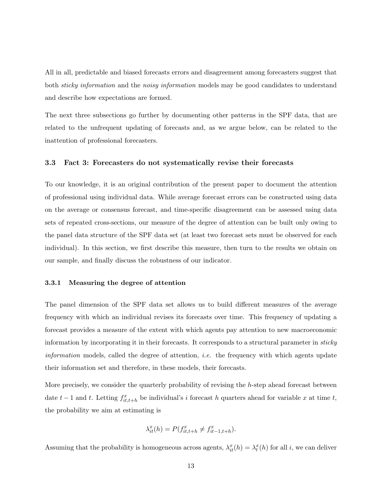All in all, predictable and biased forecasts errors and disagreement among forecasters suggest that both *sticky information* and the *noisy information* models may be good candidates to understand and describe how expectations are formed.

The next three subsections go further by documenting other patterns in the SPF data, that are related to the unfrequent updating of forecasts and, as we argue below, can be related to the inattention of professional forecasters.

#### 3.3 Fact 3: Forecasters do not systematically revise their forecasts

To our knowledge, it is an original contribution of the present paper to document the attention of professional using individual data. While average forecast errors can be constructed using data on the average or consensus forecast, and time-specific disagreement can be assessed using data sets of repeated cross-sections, our measure of the degree of attention can be built only owing to the panel data structure of the SPF data set (at least two forecast sets must be observed for each individual). In this section, we first describe this measure, then turn to the results we obtain on our sample, and finally discuss the robustness of our indicator.

#### 3.3.1 Measuring the degree of attention

The panel dimension of the SPF data set allows us to build different measures of the average frequency with which an individual revises its forecasts over time. This frequency of updating a forecast provides a measure of the extent with which agents pay attention to new macroeconomic information by incorporating it in their forecasts. It corresponds to a structural parameter in *sticky information* models, called the degree of attention, *i.e.* the frequency with which agents update their information set and therefore, in these models, their forecasts.

More precisely, we consider the quarterly probability of revising the h-step ahead forecast between date  $t-1$  and t. Letting  $f_{it,t+h}^x$  be individual's i forecast h quarters ahead for variable x at time t, the probability we aim at estimating is

$$
\lambda_{it}^x(h) = P(f_{it,t+h}^x \neq f_{it-1,t+h}^x).
$$

Assuming that the probability is homogeneous across agents,  $\lambda_{it}^x(h) = \lambda_t^x(h)$  for all i, we can deliver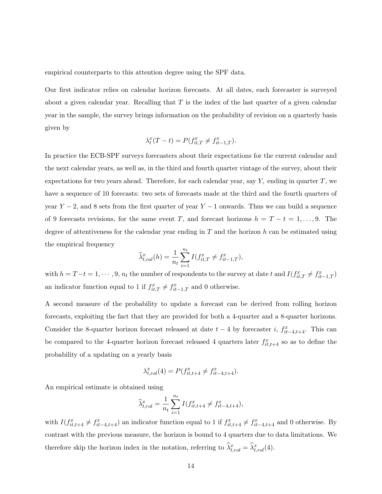empirical counterparts to this attention degree using the SPF data.

Our first indicator relies on calendar horizon forecasts. At all dates, each forecaster is surveyed about a given calendar year. Recalling that  $T$  is the index of the last quarter of a given calendar year in the sample, the survey brings information on the probability of revision on a quarterly basis given by

$$
\lambda_t^x(T - t) = P(f_{it,T}^x \neq f_{it-1,T}^x).
$$

In practice the ECB-SPF surveys forecasters about their expectations for the current calendar and the next calendar years, as well as, in the third and fourth quarter vintage of the survey, about their expectations for two years ahead. Therefore, for each calendar year, say  $Y$ , ending in quarter  $T$ , we have a sequence of 10 forecasts: two sets of forecasts made at the third and the fourth quarters of year  $Y - 2$ , and 8 sets from the first quarter of year  $Y - 1$  onwards. Thus we can build a sequence of 9 forecasts revisions, for the same event T, and forecast horizons  $h = T - t = 1, \ldots, 9$ . The degree of attentiveness for the calendar year ending in  $T$  and the horizon  $h$  can be estimated using the empirical frequency

$$
\widehat{\lambda}_{t,cal}^x(h) = \frac{1}{n_t} \sum_{i=1}^{n_t} I(f_{it,T}^x \neq f_{it-1,T}^x),
$$

with  $h = T - t = 1, \dots, 9, n_t$  the number of respondents to the survey at date t and  $I(f_{it,T}^x \neq f_{it-1,T}^x)$ an indicator function equal to 1 if  $f_{it,T}^x \neq f_{it-1,T}^x$  and 0 otherwise.

A second measure of the probability to update a forecast can be derived from rolling horizon forecasts, exploiting the fact that they are provided for both a 4-quarter and a 8-quarter horizons. Consider the 8-quarter horizon forecast released at date  $t-4$  by forecaster i,  $f_{it-4,t+4}^x$ . This can be compared to the 4-quarter horizon forecast released 4 quarters later  $f_{it,t+4}^x$  so as to define the probability of a updating on a yearly basis

$$
\lambda_{t,rol}^x(4) = P(f_{it,t+4}^x \neq f_{it-4,t+4}^x).
$$

An empirical estimate is obtained using

$$
\widehat{\lambda}_{t,rol}^x = \frac{1}{n_t} \sum_{i=1}^{n_t} I(f_{it,t+4}^x \neq f_{it-4,t+4}^x),
$$

with  $I(f_{it,t+4}^x \neq f_{it-4,t+4}^x)$  an indicator function equal to 1 if  $f_{it,t+4}^x \neq f_{it-4,t+4}^x$  and 0 otherwise. By contrast with the previous measure, the horizon is bound to 4 quarters due to data limitations. We therefore skip the horizon index in the notation, referring to  $\hat{\lambda}_{t,rol}^x = \hat{\lambda}_{t,rol}^x(4)$ .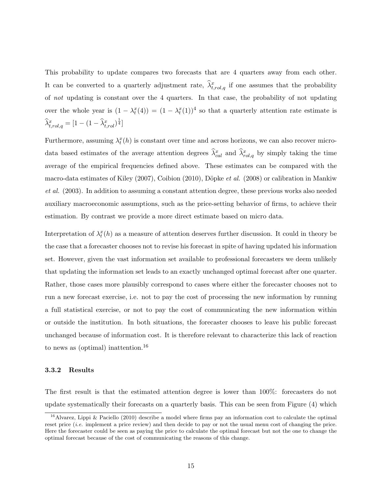This probability to update compares two forecasts that are 4 quarters away from each other. It can be converted to a quarterly adjustment rate,  $\hat{\lambda}^x_{t,rol,q}$  if one assumes that the probability of not updating is constant over the 4 quarters. In that case, the probability of not updating over the whole year is  $(1 - \lambda_t^x(4)) = (1 - \lambda_t^x(1))^4$  so that a quarterly attention rate estimate is  $\widehat{\lambda}_{t,rol,q}^x = [1 - (1 - \widehat{\lambda}_{t,rol}^x)^{\frac{1}{4}}]$ 

Furthermore, assuming  $\lambda_t^x(h)$  is constant over time and across horizons, we can also recover microdata based estimates of the average attention degrees  $\hat{\lambda}_{cal}^x$  and  $\hat{\lambda}_{rol,q}^x$  by simply taking the time average of the empirical frequencies defined above. These estimates can be compared with the macro-data estimates of Kiley (2007), Coibion (2010), Döpke *et al.* (2008) or calibration in Mankiw et al. (2003). In addition to assuming a constant attention degree, these previous works also needed auxiliary macroeconomic assumptions, such as the price-setting behavior of firms, to achieve their estimation. By contrast we provide a more direct estimate based on micro data.

Interpretation of  $\lambda_t^x(h)$  as a measure of attention deserves further discussion. It could in theory be the case that a forecaster chooses not to revise his forecast in spite of having updated his information set. However, given the vast information set available to professional forecasters we deem unlikely that updating the information set leads to an exactly unchanged optimal forecast after one quarter. Rather, those cases more plausibly correspond to cases where either the forecaster chooses not to run a new forecast exercise, i.e. not to pay the cost of processing the new information by running a full statistical exercise, or not to pay the cost of communicating the new information within or outside the institution. In both situations, the forecaster chooses to leave his public forecast unchanged because of information cost. It is therefore relevant to characterize this lack of reaction to news as (optimal) inattention.<sup>16</sup>

#### 3.3.2 Results

The first result is that the estimated attention degree is lower than 100%: forecasters do not update systematically their forecasts on a quarterly basis. This can be seen from Figure (4) which

<sup>&</sup>lt;sup>16</sup>Alvarez, Lippi & Paciello (2010) describe a model where firms pay an information cost to calculate the optimal reset price (i.e. implement a price review) and then decide to pay or not the usual menu cost of changing the price. Here the forecaster could be seen as paying the price to calculate the optimal forecast but not the one to change the optimal forecast because of the cost of communicating the reasons of this change.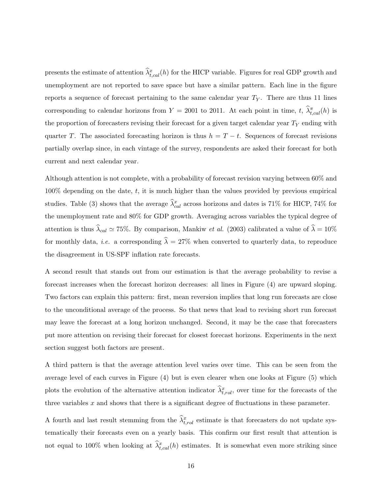presents the estimate of attention  $\hat{\lambda}_{t,cal}^x(h)$  for the HICP variable. Figures for real GDP growth and unemployment are not reported to save space but have a similar pattern. Each line in the figure reports a sequence of forecast pertaining to the same calendar year  $T_Y$ . There are thus 11 lines corresponding to calendar horizons from  $Y = 2001$  to 2011. At each point in time,  $t$ ,  $\hat{\lambda}_{t,cal}^{\pi}(h)$  is the proportion of forecasters revising their forecast for a given target calendar year  $T_Y$  ending with quarter T. The associated forecasting horizon is thus  $h = T - t$ . Sequences of forecast revisions partially overlap since, in each vintage of the survey, respondents are asked their forecast for both current and next calendar year.

Although attention is not complete, with a probability of forecast revision varying between 60% and  $100\%$  depending on the date, t, it is much higher than the values provided by previous empirical studies. Table (3) shows that the average  $\hat{\lambda}_{cal}^{x}$  across horizons and dates is 71% for HICP, 74% for the unemployment rate and 80% for GDP growth. Averaging across variables the typical degree of attention is thus  $\lambda_{cal} \simeq 75\%$ . By comparison, Mankiw *et al.* (2003) calibrated a value of  $\lambda = 10\%$ for monthly data, *i.e.* a corresponding  $\hat{\lambda} = 27\%$  when converted to quarterly data, to reproduce the disagreement in US-SPF inflation rate forecasts.

A second result that stands out from our estimation is that the average probability to revise a forecast increases when the forecast horizon decreases: all lines in Figure (4) are upward sloping. Two factors can explain this pattern: first, mean reversion implies that long run forecasts are close to the unconditional average of the process. So that news that lead to revising short run forecast may leave the forecast at a long horizon unchanged. Second, it may be the case that forecasters put more attention on revising their forecast for closest forecast horizons. Experiments in the next section suggest both factors are present.

A third pattern is that the average attention level varies over time. This can be seen from the average level of each curves in Figure (4) but is even clearer when one looks at Figure (5) which plots the evolution of the alternative attention indicator  $\hat{\lambda}_{t,rol}^x$ , over time for the forecasts of the three variables  $x$  and shows that there is a significant degree of fluctuations in these parameter.

A fourth and last result stemming from the  $\hat{\lambda}_{t,rol}^x$  estimate is that forecasters do not update systematically their forecasts even on a yearly basis. This confirm our first result that attention is not equal to 100% when looking at  $\hat{\lambda}_{t,cal}^{x}(h)$  estimates. It is somewhat even more striking since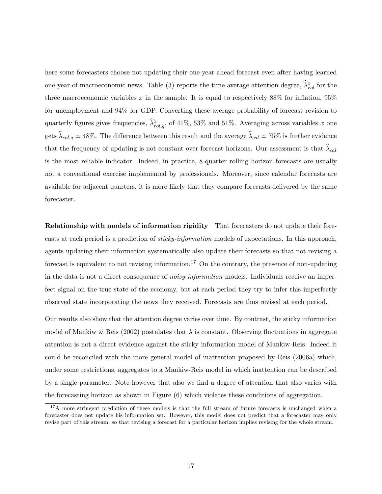here some forecasters choose not updating their one-year ahead forecast even after having learned one year of macroeconomic news. Table (3) reports the time average attention degree,  $\hat{\lambda}^x_{rol}$  for the three macroeconomic variables x in the sample. It is equal to respectively  $88\%$  for inflation,  $95\%$ for unemployment and 94% for GDP. Converting these average probability of forecast revision to quarterly figures gives frequencies,  $\hat{\lambda}^x_{rol,q}$ , of 41%, 53% and 51%. Averaging across variables x one gets  $\lambda_{rol,q} \simeq 48\%$ . The difference between this result and the average  $\lambda_{cal} \simeq 75\%$  is further evidence that the frequency of updating is not constant over forecast horizons. Our assessment is that  $\lambda_{cal}$ is the most reliable indicator. Indeed, in practice, 8-quarter rolling horizon forecasts are usually not a conventional exercise implemented by professionals. Moreover, since calendar forecasts are available for adjacent quarters, it is more likely that they compare forecasts delivered by the same forecaster.

Relationship with models of information rigidity That forecasters do not update their forecasts at each period is a prediction of sticky-information models of expectations. In this approach, agents updating their information systematically also update their forecasts so that not revising a forecast is equivalent to not revising information.<sup>17</sup> On the contrary, the presence of non-updating in the data is not a direct consequence of *noisy-information* models. Individuals receive an imperfect signal on the true state of the economy, but at each period they try to infer this imperfectly observed state incorporating the news they received. Forecasts are thus revised at each period.

Our results also show that the attention degree varies over time. By contrast, the sticky information model of Mankiw & Reis (2002) postulates that  $\lambda$  is constant. Observing fluctuations in aggregate attention is not a direct evidence against the sticky information model of Mankiw-Reis. Indeed it could be reconciled with the more general model of inattention proposed by Reis (2006a) which, under some restrictions, aggregates to a Mankiw-Reis model in which inattention can be described by a single parameter. Note however that also we find a degree of attention that also varies with the forecasting horizon as shown in Figure (6) which violates these conditions of aggregation.

<sup>&</sup>lt;sup>17</sup>A more stringent prediction of these models is that the full stream of future forecasts is unchanged when a forecaster does not update his information set. However, this model does not predict that a forecaster may only revise part of this stream, so that revising a forecast for a particular horizon implies revising for the whole stream.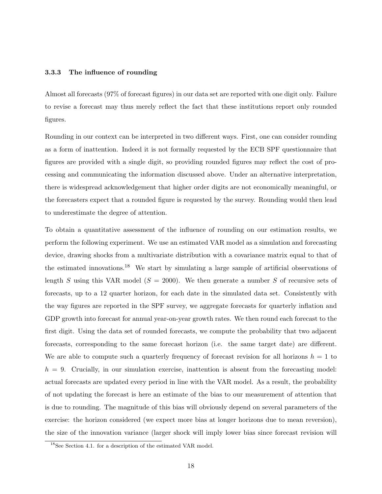#### 3.3.3 The influence of rounding

Almost all forecasts (97% of forecast figures) in our data set are reported with one digit only. Failure to revise a forecast may thus merely reflect the fact that these institutions report only rounded figures.

Rounding in our context can be interpreted in two different ways. First, one can consider rounding as a form of inattention. Indeed it is not formally requested by the ECB SPF questionnaire that figures are provided with a single digit, so providing rounded figures may reflect the cost of processing and communicating the information discussed above. Under an alternative interpretation, there is widespread acknowledgement that higher order digits are not economically meaningful, or the forecasters expect that a rounded figure is requested by the survey. Rounding would then lead to underestimate the degree of attention.

To obtain a quantitative assessment of the influence of rounding on our estimation results, we perform the following experiment. We use an estimated VAR model as a simulation and forecasting device, drawing shocks from a multivariate distribution with a covariance matrix equal to that of the estimated innovations.<sup>18</sup> We start by simulating a large sample of artificial observations of length S using this VAR model  $(S = 2000)$ . We then generate a number S of recursive sets of forecasts, up to a 12 quarter horizon, for each date in the simulated data set. Consistently with the way figures are reported in the SPF survey, we aggregate forecasts for quarterly inflation and GDP growth into forecast for annual year-on-year growth rates. We then round each forecast to the first digit. Using the data set of rounded forecasts, we compute the probability that two adjacent forecasts, corresponding to the same forecast horizon (i.e. the same target date) are different. We are able to compute such a quarterly frequency of forecast revision for all horizons  $h = 1$  to  $h = 9$ . Crucially, in our simulation exercise, inattention is absent from the forecasting model: actual forecasts are updated every period in line with the VAR model. As a result, the probability of not updating the forecast is here an estimate of the bias to our measurement of attention that is due to rounding. The magnitude of this bias will obviously depend on several parameters of the exercise: the horizon considered (we expect more bias at longer horizons due to mean reversion), the size of the innovation variance (larger shock will imply lower bias since forecast revision will

<sup>18</sup>See Section 4.1. for a description of the estimated VAR model.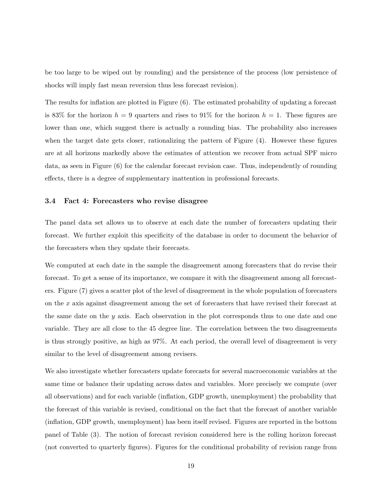be too large to be wiped out by rounding) and the persistence of the process (low persistence of shocks will imply fast mean reversion thus less forecast revision).

The results for inflation are plotted in Figure (6). The estimated probability of updating a forecast is 83% for the horizon  $h = 9$  quarters and rises to 91% for the horizon  $h = 1$ . These figures are lower than one, which suggest there is actually a rounding bias. The probability also increases when the target date gets closer, rationalizing the pattern of Figure  $(4)$ . However these figures are at all horizons markedly above the estimates of attention we recover from actual SPF micro data, as seen in Figure (6) for the calendar forecast revision case. Thus, independently of rounding effects, there is a degree of supplementary inattention in professional forecasts.

#### 3.4 Fact 4: Forecasters who revise disagree

The panel data set allows us to observe at each date the number of forecasters updating their forecast. We further exploit this specificity of the database in order to document the behavior of the forecasters when they update their forecasts.

We computed at each date in the sample the disagreement among forecasters that do revise their forecast. To get a sense of its importance, we compare it with the disagreement among all forecasters. Figure (7) gives a scatter plot of the level of disagreement in the whole population of forecasters on the x axis against disagreement among the set of forecasters that have revised their forecast at the same date on the  $y$  axis. Each observation in the plot corresponds thus to one date and one variable. They are all close to the 45 degree line. The correlation between the two disagreements is thus strongly positive, as high as 97%. At each period, the overall level of disagreement is very similar to the level of disagreement among revisers.

We also investigate whether forecasters update forecasts for several macroeconomic variables at the same time or balance their updating across dates and variables. More precisely we compute (over all observations) and for each variable (inflation, GDP growth, unemployment) the probability that the forecast of this variable is revised, conditional on the fact that the forecast of another variable (inflation, GDP growth, unemployment) has been itself revised. Figures are reported in the bottom panel of Table (3). The notion of forecast revision considered here is the rolling horizon forecast (not converted to quarterly figures). Figures for the conditional probability of revision range from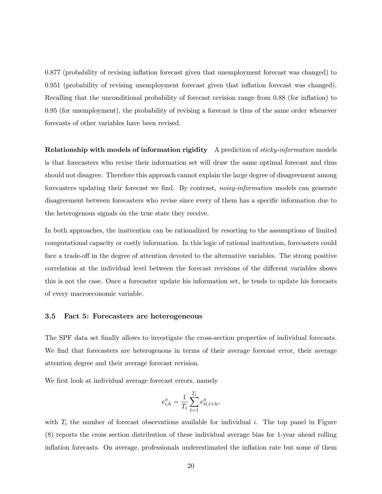0.877 (probability of revising inflation forecast given that unemployment forecast was changed) to 0.951 (probability of revising unemployment forecast given that inflation forecast was changed). Recalling that the unconditional probability of forecast revision range from 0.88 (for inflation) to 0.95 (for unemployment), the probability of revising a forecast is thus of the same order whenever forecasts of other variables have been revised.

Relationship with models of information rigidity A prediction of *sticky-information* models is that forecasters who revise their information set will draw the same optimal forecast and thus should not disagree. Therefore this approach cannot explain the large degree of disagreement among forecasters updating their forecast we find. By contrast, noisy-information models can generate disagreement between forecasters who revise since every of them has a specific information due to the heterogenous signals on the true state they receive.

In both approaches, the inattention can be rationalized by resorting to the assumptions of limited computational capacity or costly information. In this logic of rational inattention, forecasters could face a trade-off in the degree of attention devoted to the alternative variables. The strong positive correlation at the individual level between the forecast revisions of the different variables shows this is not the case. Once a forecaster update his information set, he tends to update his forecasts of every macroeconomic variable.

#### 3.5 Fact 5: Forecasters are heterogeneous

The SPF data set finally allows to investigate the cross-section properties of individual forecasts. We find that forecasters are heterogenous in terms of their average forecast error, their average attention degree and their average forecast revision.

We first look at individual average forecast errors, namely

$$
e_{i,h}^x = \frac{1}{T_i} \sum_{t=1}^{T_i} e_{it,t+h}^x,
$$

with  $T_i$  the number of forecast observations available for individual i. The top panel in Figure (8) reports the cross section distribution of these individual average bias for 1-year ahead rolling inflation forecasts. On average, professionals underestimated the inflation rate but some of them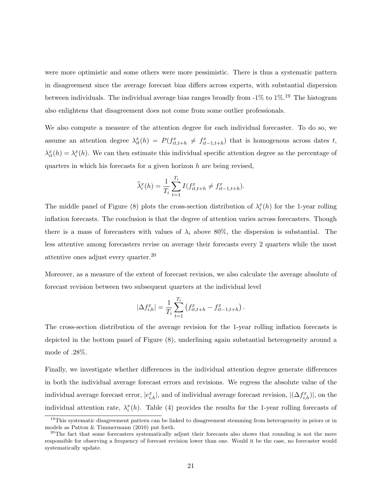were more optimistic and some others were more pessimistic. There is thus a systematic pattern in disagreement since the average forecast bias differs across experts, with substantial dispersion between individuals. The individual average bias ranges broadly from  $-1\%$  to  $1\%$ .<sup>19</sup> The histogram also enlightens that disagreement does not come from some outlier professionals.

We also compute a measure of the attention degree for each individual forecaster. To do so, we assume an attention degree  $\lambda_{it}^x(h) = P(f_{it,t+h}^x \neq f_{it-1,t+h}^x)$  that is homogenous across dates t,  $\lambda_i^x(h) = \lambda_i^x(h)$ . We can then estimate this individual specific attention degree as the percentage of quarters in which his forecasts for a given horizon  $h$  are being revised,

$$
\widehat{\lambda}_{i}^{x}(h) = \frac{1}{T_{i}} \sum_{t=1}^{T_{i}} I(f_{it,t+h}^{x} \neq f_{it-1,t+h}^{x}).
$$

The middle panel of Figure (8) plots the cross-section distribution of  $\lambda_i^x(h)$  for the 1-year rolling inflation forecasts. The conclusion is that the degree of attention varies across forecasters. Though there is a mass of forecasters with values of  $\lambda_i$  above 80%, the dispersion is substantial. The less attentive among forecasters revise on average their forecasts every 2 quarters while the most attentive ones adjust every quarter.<sup>20</sup>

Moreover, as a measure of the extent of forecast revision, we also calculate the average absolute of forecast revision between two subsequent quarters at the individual level

$$
|\Delta f_{i,h}^x| = \frac{1}{T_i} \sum_{t=1}^{T_i} (f_{it,t+h}^x - f_{it-1,t+h}^x).
$$

The cross-section distribution of the average revision for the 1-year rolling inflation forecasts is depicted in the bottom panel of Figure (8), underlining again substantial heterogeneity around a mode of .28%.

Finally, we investigate whether differences in the individual attention degree generate differences in both the individual average forecast errors and revisions. We regress the absolute value of the individual average forecast error,  $|e_{i,h}^x|$ , and of individual average forecast revision,  $|(\Delta f_{i,h}^x)|$ , on the individual attention rate,  $\lambda_i^x(h)$ . Table (4) provides the results for the 1-year rolling forecasts of

<sup>&</sup>lt;sup>19</sup>This systematic disagreement pattern can be linked to disagreement stemming from heterogeneity in priors or in models as Patton & Timmermann (2010) put forth.

<sup>&</sup>lt;sup>20</sup>The fact that some forecasters systematically adjust their forecasts also shows that rounding is not the mere responsible for observing a frequency of forecast revision lower than one. Would it be the case, no forecaster would systematically update.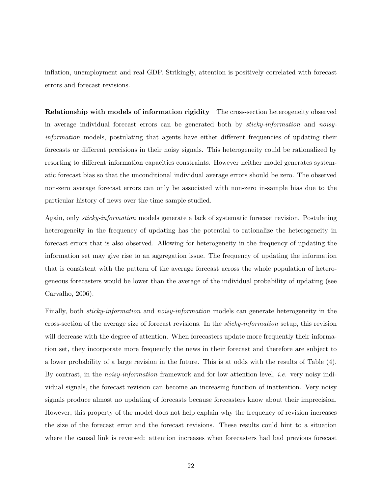inflation, unemployment and real GDP. Strikingly, attention is positively correlated with forecast errors and forecast revisions.

Relationship with models of information rigidity The cross-section heterogeneity observed in average individual forecast errors can be generated both by sticky-information and noisyinformation models, postulating that agents have either different frequencies of updating their forecasts or different precisions in their noisy signals. This heterogeneity could be rationalized by resorting to different information capacities constraints. However neither model generates systematic forecast bias so that the unconditional individual average errors should be zero. The observed non-zero average forecast errors can only be associated with non-zero in-sample bias due to the particular history of news over the time sample studied.

Again, only sticky-information models generate a lack of systematic forecast revision. Postulating heterogeneity in the frequency of updating has the potential to rationalize the heterogeneity in forecast errors that is also observed. Allowing for heterogeneity in the frequency of updating the information set may give rise to an aggregation issue. The frequency of updating the information that is consistent with the pattern of the average forecast across the whole population of heterogeneous forecasters would be lower than the average of the individual probability of updating (see Carvalho, 2006).

Finally, both *sticky-information* and *noisy-information* models can generate heterogeneity in the cross-section of the average size of forecast revisions. In the sticky-information setup, this revision will decrease with the degree of attention. When forecasters update more frequently their information set, they incorporate more frequently the news in their forecast and therefore are subject to a lower probability of a large revision in the future. This is at odds with the results of Table (4). By contrast, in the *noisy-information* framework and for low attention level, *i.e.* very noisy individual signals, the forecast revision can become an increasing function of inattention. Very noisy signals produce almost no updating of forecasts because forecasters know about their imprecision. However, this property of the model does not help explain why the frequency of revision increases the size of the forecast error and the forecast revisions. These results could hint to a situation where the causal link is reversed: attention increases when forecasters had bad previous forecast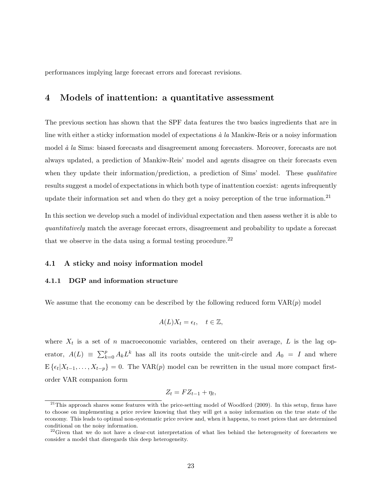performances implying large forecast errors and forecast revisions.

### 4 Models of inattention: a quantitative assessment

The previous section has shown that the SPF data features the two basics ingredients that are in line with either a sticky information model of expectations  $\dot{a}$  la Mankiw-Reis or a noisy information model  $\dot{a}$  la Sims: biased forecasts and disagreement among forecasters. Moreover, forecasts are not always updated, a prediction of Mankiw-Reis' model and agents disagree on their forecasts even when they update their information/prediction, a prediction of Sims' model. These qualitative results suggest a model of expectations in which both type of inattention coexist: agents infrequently update their information set and when do they get a noisy perception of the true information.<sup>21</sup>

In this section we develop such a model of individual expectation and then assess wether it is able to quantitatively match the average forecast errors, disagreement and probability to update a forecast that we observe in the data using a formal testing procedure.<sup>22</sup>

#### 4.1 A sticky and noisy information model

#### 4.1.1 DGP and information structure

We assume that the economy can be described by the following reduced form  $VAR(p)$  model

$$
A(L)X_t = \epsilon_t, \quad t \in \mathbb{Z},
$$

where  $X_t$  is a set of n macroeconomic variables, centered on their average, L is the lag operator,  $A(L) \equiv \sum_{k=0}^{p} A_k L^k$  has all its roots outside the unit-circle and  $A_0 = I$  and where  $E\{\epsilon_t | X_{t-1}, \ldots, X_{t-p}\} = 0.$  The VAR(p) model can be rewritten in the usual more compact firstorder VAR companion form

$$
Z_t = FZ_{t-1} + \eta_t,
$$

 $^{21}$ This approach shares some features with the price-setting model of Woodford (2009). In this setup, firms have to choose on implementing a price review knowing that they will get a noisy information on the true state of the economy. This leads to optimal non-systematic price review and, when it happens, to reset prices that are determined conditional on the noisy information.

 $22$ Given that we do not have a clear-cut interpretation of what lies behind the heterogeneity of forecasters we consider a model that disregards this deep heterogeneity.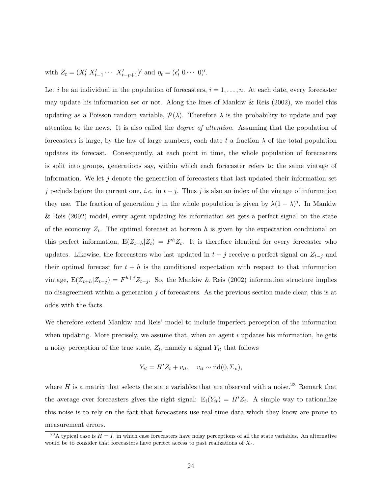with  $Z_t = (X'_t \ X'_{t-1} \cdots \ X'_{t-p+1})'$  and  $\eta_t = (\epsilon'_t \ 0 \cdots \ 0)'$ .

Let i be an individual in the population of forecasters,  $i = 1, \ldots, n$ . At each date, every forecaster may update his information set or not. Along the lines of Mankiw & Reis (2002), we model this updating as a Poisson random variable,  $\mathcal{P}(\lambda)$ . Therefore  $\lambda$  is the probability to update and pay attention to the news. It is also called the degree of attention. Assuming that the population of forecasters is large, by the law of large numbers, each date t a fraction  $\lambda$  of the total population updates its forecast. Consequently, at each point in time, the whole population of forecasters is split into groups, generations say, within which each forecaster refers to the same vintage of information. We let  $j$  denote the generation of forecasters that last updated their information set j periods before the current one, *i.e.* in  $t - j$ . Thus j is also an index of the vintage of information they use. The fraction of generation j in the whole population is given by  $\lambda(1-\lambda)^j$ . In Mankiw & Reis (2002) model, every agent updating his information set gets a perfect signal on the state of the economy  $Z_t$ . The optimal forecast at horizon h is given by the expectation conditional on this perfect information,  $E(Z_{t+h}|Z_t) = F^h Z_t$ . It is therefore identical for every forecaster who updates. Likewise, the forecasters who last updated in  $t - j$  receive a perfect signal on  $Z_{t-j}$  and their optimal forecast for  $t + h$  is the conditional expectation with respect to that information vintage,  $E(Z_{t+h}|Z_{t-j}) = F^{h+j}Z_{t-j}$ . So, the Mankiw & Reis (2002) information structure implies no disagreement within a generation  $j$  of forecasters. As the previous section made clear, this is at odds with the facts.

We therefore extend Mankiw and Reis' model to include imperfect perception of the information when updating. More precisely, we assume that, when an agent  $i$  updates his information, he gets a noisy perception of the true state,  $Z_t$ , namely a signal  $Y_{it}$  that follows

$$
Y_{it} = H'Z_t + v_{it}, \quad v_{it} \sim \text{iid}(0, \Sigma_v),
$$

where  $H$  is a matrix that selects the state variables that are observed with a noise.<sup>23</sup> Remark that the average over forecasters gives the right signal:  $E_i(Y_{it}) = H'Z_t$ . A simple way to rationalize this noise is to rely on the fact that forecasters use real-time data which they know are prone to measurement errors.

<sup>&</sup>lt;sup>23</sup>A typical case is  $H = I$ , in which case forecasters have noisy perceptions of all the state variables. An alternative would be to consider that forecasters have perfect access to past realizations of  $X_t$ .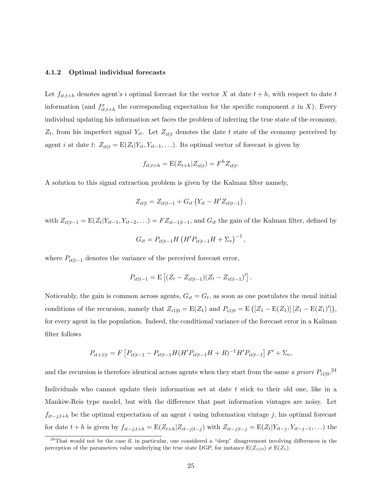#### 4.1.2 Optimal individual forecasts

Let  $f_{it,t+h}$  denotes agent's i optimal forecast for the vector X at date  $t + h$ , with respect to date t information (and  $f_{it,t+h}^x$  the corresponding expectation for the specific component x in X). Every individual updating his information set faces the problem of inferring the true state of the economy,  $Z_t$ , from his imperfect signal  $Y_{it}$ . Let  $Z_{it|t}$  denotes the date t state of the economy perceived by agent *i* at date t:  $Z_{it|t} = E(Z_t|Y_{it}, Y_{it-1}, \ldots)$ . Its optimal vector of forecast is given by

$$
f_{it,t+h} = \mathcal{E}(Z_{t+h}|Z_{it|t}) = F^h Z_{it|t}.
$$

A solution to this signal extraction problem is given by the Kalman filter namely,

$$
Z_{it|t} = Z_{it|t-1} + G_{it} (Y_{it} - H' Z_{it|t-1}),
$$

with  $Z_{it|t-1} = E(Z_t|Y_{it-1}, Y_{it-2}, ...) = FZ_{it-1|t-1}$ , and  $G_{it}$  the gain of the Kalman filter, defined by

$$
G_{it} = P_{it|t-1} H (H' P_{it|t-1} H + \Sigma_v)^{-1},
$$

where  $P_{it|t-1}$  denotes the variance of the perceived forecast error,

$$
P_{it|t-1} = \mathbf{E} \left[ (Z_t - Z_{it|t-1}) (Z_t - Z_{it|t-1})' \right].
$$

Noticeably, the gain is common across agents,  $G_{it} = G_t$ , as soon as one postulates the usual initial conditions of the recursion, namely that  $Z_{i1|0} = E(Z_1)$  and  $P_{i1|0} = E\left\{ [Z_1 - E(Z_1)] [Z_1 - E(Z_1)'] \right\}$ , for every agent in the population. Indeed, the conditional variance of the forecast error in a Kalman filter follows

$$
P_{it+1|t} = F\left[P_{it|t-1} - P_{it|t-1}H(H'P_{it|t-1}H + R)^{-1}H'P_{it|t-1}\right]F' + \Sigma_v,
$$

and the recursion is therefore identical across agents when they start from the same a priori  $P_{i1|0}$ .<sup>24</sup> Individuals who cannot update their information set at date  $t$  stick to their old one, like in a Mankiw-Reis type model, but with the difference that past information vintages are noisy. Let  $f_{it-j,t+h}$  be the optimal expectation of an agent i using information vintage j, his optimal forecast for date  $t + h$  is given by  $f_{it-j,t+h} = \mathbb{E}(Z_{t+h} | Z_{it-j|t-j})$  with  $Z_{it-j|t-j} = \mathbb{E}(Z_t | Y_{it-j}, Y_{it-j-1}, \ldots)$  the

 $24$ That would not be the case if, in particular, one considered a "deep" disagreement involving differences in the perception of the parameters value underlying the true state DGP, for instance  $E(Z_{i1|0}) \neq E(Z_1)$ .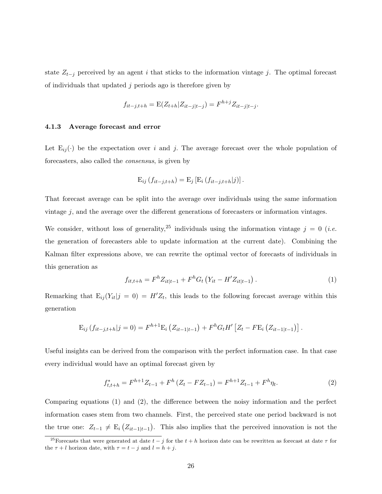state  $Z_{t-j}$  perceived by an agent i that sticks to the information vintage j. The optimal forecast of individuals that updated  $j$  periods ago is therefore given by

$$
f_{it-j,t+h} = \mathcal{E}(Z_{t+h} | Z_{it-j|t-j}) = F^{h+j} Z_{it-j|t-j}.
$$

#### 4.1.3 Average forecast and error

Let  $E_{ij}(\cdot)$  be the expectation over i and j. The average forecast over the whole population of forecasters, also called the consensus, is given by

$$
E_{ij} (f_{it-j,t+h}) = E_j [E_i (f_{it-j,t+h}|j)].
$$

That forecast average can be split into the average over individuals using the same information vintage  $j$ , and the average over the different generations of forecasters or information vintages.

We consider, without loss of generality,<sup>25</sup> individuals using the information vintage  $j = 0$  (*i.e.* the generation of forecasters able to update information at the current date). Combining the Kalman filter expressions above, we can rewrite the optimal vector of forecasts of individuals in this generation as

$$
f_{it,t+h} = F^{h} Z_{it|t-1} + F^{h} G_t \left( Y_{it} - H' Z_{it|t-1} \right). \tag{1}
$$

Remarking that  $E_{ij}(Y_{it}|j=0) = H'Z_t$ , this leads to the following forecast average within this generation

$$
E_{ij} (f_{it-j,t+h}|j=0) = F^{h+1} E_i (Z_{it-1|t-1}) + F^h G_t H' [Z_t - F E_i (Z_{it-1|t-1})].
$$

Useful insights can be derived from the comparison with the perfect information case. In that case every individual would have an optimal forecast given by

$$
f_{t,t+h}^* = F^{h+1} Z_{t-1} + F^h (Z_t - F Z_{t-1}) = F^{h+1} Z_{t-1} + F^h \eta_t.
$$
 (2)

Comparing equations (1) and (2), the difference between the noisy information and the perfect information cases stem from two channels. First, the perceived state one period backward is not the true one:  $Z_{t-1} \neq E_i (Z_{it-1|t-1})$ . This also implies that the perceived innovation is not the

<sup>&</sup>lt;sup>25</sup>Forecasts that were generated at date  $t - j$  for the  $t + h$  horizon date can be rewritten as forecast at date  $\tau$  for the  $\tau + l$  horizon date, with  $\tau = t - i$  and  $l = h + i$ .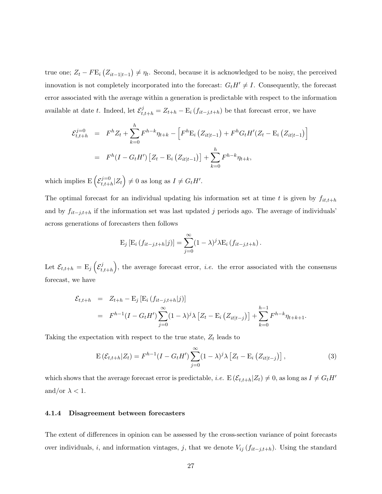true one;  $Z_t - F E_i (Z_{it-1|t-1}) \neq \eta_t$ . Second, because it is acknowledged to be noisy, the perceived innovation is not completely incorporated into the forecast:  $G_tH' \neq I$ . Consequently, the forecast error associated with the average within a generation is predictable with respect to the information available at date t. Indeed, let  $\mathcal{E}^j_{t,t+h} = Z_{t+h} - \mathrm{E}_i(f_{it-j,t+h})$  be that forecast error, we have

$$
\mathcal{E}_{t,t+h}^{j=0} = F^{h} Z_{t} + \sum_{k=0}^{h} F^{h-k} \eta_{t+k} - \left[ F^{h} E_{i} \left( Z_{it|t-1} \right) + F^{h} G_{t} H' (Z_{t} - E_{i} \left( Z_{it|t-1} \right) \right]
$$

$$
= F^{h} (I - G_{t} H') \left[ Z_{t} - E_{i} \left( Z_{it|t-1} \right) \right] + \sum_{k=0}^{h} F^{h-k} \eta_{t+k},
$$

which implies  $E\left(\mathcal{E}_{t,i+1}^{j=0}\right)$  $t_{t,t+h}^{j=0}|Z_t\rangle \neq 0$  as long as  $I \neq G_t H'.$ 

The optimal forecast for an individual updating his information set at time t is given by  $f_{it,t+h}$ and by  $f_{it-j,t+h}$  if the information set was last updated j periods ago. The average of individuals' across generations of forecasters then follows

$$
E_j [E_i (f_{it-j,t+h}|j)] = \sum_{j=0}^{\infty} (1 - \lambda)^j \lambda E_i (f_{it-j,t+h}).
$$

Let  $\mathcal{E}_{t,t+h} = \mathrm{E}_j \left( \mathcal{E}_t^j \right)$  $(t_{t,t+h})$ , the average forecast error, *i.e.* the error associated with the consensus forecast, we have

$$
\mathcal{E}_{t,t+h} = Z_{t+h} - \mathbb{E}_j \left[ \mathbb{E}_i \left( f_{it-j,t+h} | j \right) \right]
$$
  
=  $F^{h-1} (I - G_t H') \sum_{j=0}^{\infty} (1 - \lambda)^j \lambda \left[ Z_t - \mathbb{E}_i \left( Z_{it|t-j} \right) \right] + \sum_{k=0}^{h-1} F^{h-k} \eta_{t+k+1}.$ 

Taking the expectation with respect to the true state,  $Z_t$  leads to

$$
\mathcal{E}\left(\mathcal{E}_{t,t+h}|Z_t\right) = F^{h-1}(I - G_t H') \sum_{j=0}^{\infty} (1 - \lambda)^j \lambda \left[Z_t - \mathcal{E}_i \left(Z_{it|t-j}\right)\right],\tag{3}
$$

which shows that the average forecast error is predictable, *i.e.*  $E(\mathcal{E}_{t,t+h}|Z_t) \neq 0$ , as long as  $I \neq G_tH'$ and/or  $\lambda < 1$ .

#### 4.1.4 Disagreement between forecasters

The extent of differences in opinion can be assessed by the cross-section variance of point forecasts over individuals, i, and information vintages, j, that we denote  $V_{ij}$  ( $f_{it-j,t+h}$ ). Using the standard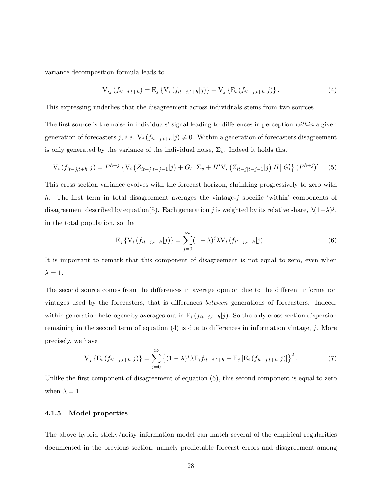variance decomposition formula leads to

$$
V_{ij}(f_{it-j,t+h}) = E_j \{ V_i (f_{it-j,t+h}|j) \} + V_j \{ E_i (f_{it-j,t+h}|j) \}.
$$
 (4)

This expressing underlies that the disagreement across individuals stems from two sources.

The first source is the noise in individuals' signal leading to differences in perception within a given generation of forecasters j, i.e.  $V_i$  ( $f_{it-j,t+h}|j\rangle \neq 0$ . Within a generation of forecasters disagreement is only generated by the variance of the individual noise,  $\Sigma_v$ . Indeed it holds that

$$
V_i(f_{it-j,t+h}|j) = F^{h+j} \left\{ V_i \left( Z_{it-j|t-j-1}|j \right) + G_t \left[ \Sigma_v + H' V_i \left( Z_{it-j|t-j-1}|j \right) H \right] G'_t \right\} (F^{h+j})'. \tag{5}
$$

This cross section variance evolves with the forecast horizon, shrinking progressively to zero with h. The first term in total disagreement averages the vintage-j specific 'within' components of disagreement described by equation(5). Each generation j is weighted by its relative share,  $\lambda(1-\lambda)^j$ , in the total population, so that

$$
E_j \{ V_i (f_{it-j,t+h}|j) \} = \sum_{j=0}^{\infty} (1 - \lambda)^j \lambda V_i (f_{it-j,t+h}|j).
$$
 (6)

It is important to remark that this component of disagreement is not equal to zero, even when  $\lambda = 1$ .

The second source comes from the differences in average opinion due to the different information vintages used by the forecasters, that is differences between generations of forecasters. Indeed, within generation heterogeneity averages out in  $E_i$  ( $f_{it-j,t+h}|j$ ). So the only cross-section dispersion remaining in the second term of equation (4) is due to differences in information vintage, j. More precisely, we have

$$
V_j \{ E_i (f_{it-j,t+h}|j) \} = \sum_{j=0}^{\infty} \left\{ (1-\lambda)^j \lambda E_i f_{it-j,t+h} - E_j \left[ E_i (f_{it-j,t+h}|j) \right] \right\}^2.
$$
 (7)

Unlike the first component of disagreement of equation (6), this second component is equal to zero when  $\lambda = 1$ .

#### 4.1.5 Model properties

The above hybrid sticky/noisy information model can match several of the empirical regularities documented in the previous section, namely predictable forecast errors and disagreement among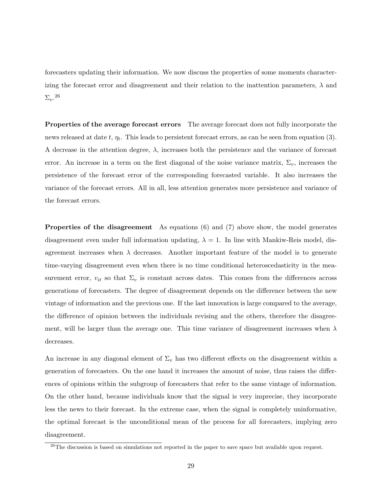forecasters updating their information. We now discuss the properties of some moments characterizing the forecast error and disagreement and their relation to the inattention parameters,  $\lambda$  and  $\Sigma_v$ .<sup>26</sup>

Properties of the average forecast errors The average forecast does not fully incorporate the news released at date  $t, \eta_t$ . This leads to persistent forecast errors, as can be seen from equation (3). A decrease in the attention degree,  $\lambda$ , increases both the persistence and the variance of forecast error. An increase in a term on the first diagonal of the noise variance matrix,  $\Sigma_v$ , increases the persistence of the forecast error of the corresponding forecasted variable. It also increases the variance of the forecast errors. All in all, less attention generates more persistence and variance of the forecast errors.

Properties of the disagreement As equations (6) and (7) above show, the model generates disagreement even under full information updating,  $\lambda = 1$ . In line with Mankiw-Reis model, disagreement increases when  $\lambda$  decreases. Another important feature of the model is to generate time-varying disagreement even when there is no time conditional heteroscedasticity in the measurement error,  $v_{it}$  so that  $\Sigma_v$  is constant across dates. This comes from the differences across generations of forecasters. The degree of disagreement depends on the difference between the new vintage of information and the previous one. If the last innovation is large compared to the average, the difference of opinion between the individuals revising and the others, therefore the disagreement, will be larger than the average one. This time variance of disagreement increases when  $\lambda$ decreases.

An increase in any diagonal element of  $\Sigma_v$  has two different effects on the disagreement within a generation of forecasters. On the one hand it increases the amount of noise, thus raises the differences of opinions within the subgroup of forecasters that refer to the same vintage of information. On the other hand, because individuals know that the signal is very imprecise, they incorporate less the news to their forecast. In the extreme case, when the signal is completely uninformative, the optimal forecast is the unconditional mean of the process for all forecasters, implying zero disagreement.

<sup>&</sup>lt;sup>26</sup>The discussion is based on simulations not reported in the paper to save space but available upon request.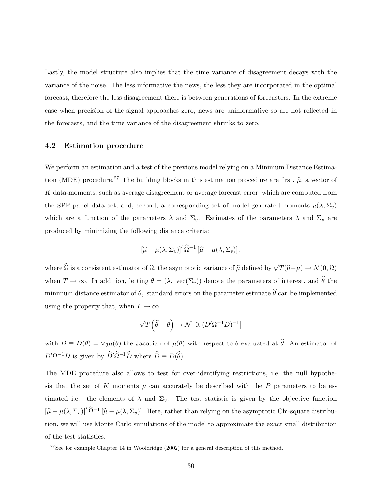Lastly, the model structure also implies that the time variance of disagreement decays with the variance of the noise. The less informative the news, the less they are incorporated in the optimal forecast, therefore the less disagreement there is between generations of forecasters. In the extreme case when precision of the signal approaches zero, news are uninformative so are not reflected in the forecasts, and the time variance of the disagreement shrinks to zero.

#### 4.2 Estimation procedure

We perform an estimation and a test of the previous model relying on a Minimum Distance Estimation (MDE) procedure.<sup>27</sup> The building blocks in this estimation procedure are first,  $\hat{\mu}$ , a vector of K data-moments, such as average disagreement or average forecast error, which are computed from the SPF panel data set, and, second, a corresponding set of model-generated moments  $\mu(\lambda, \Sigma_v)$ which are a function of the parameters  $\lambda$  and  $\Sigma_v$ . Estimates of the parameters  $\lambda$  and  $\Sigma_v$  are produced by minimizing the following distance criteria:

$$
\left[\widehat{\mu} - \mu(\lambda, \Sigma_v)\right]'\widehat{\Omega}^{-1}\left[\widehat{\mu} - \mu(\lambda, \Sigma_v)\right],
$$

where  $\widehat{\Omega}$  is a consistent estimator of  $\Omega$ , the asymptotic variance of  $\widehat{\mu}$  defined by  $\sqrt{T}(\widehat{\mu}-\mu) \to \mathcal{N}(0,\Omega)$ when  $T \to \infty$ . In addition, letting  $\theta = (\lambda, \text{ vec}(\Sigma_v))$  denote the parameters of interest, and  $\hat{\theta}$  the minimum distance estimator of  $\theta$ , standard errors on the parameter estimate  $\widehat{\theta}$  can be implemented using the property that, when  $T \to \infty$ 

$$
\sqrt{T}\left(\widehat{\theta}-\theta\right) \to \mathcal{N}\left[0, \left(D'\Omega^{-1}D\right)^{-1}\right]
$$

with  $D \equiv D(\theta) = \nabla_{\theta} \mu(\theta)$  the Jacobian of  $\mu(\theta)$  with respect to  $\theta$  evaluated at  $\hat{\theta}$ . An estimator of  $D'\Omega^{-1}D$  is given by  $\widehat{D}'\widehat{\Omega}^{-1}\widehat{D}$  where  $\widehat{D} \equiv D(\widehat{\theta})$ .

The MDE procedure also allows to test for over-identifying restrictions, i.e. the null hypothesis that the set of K moments  $\mu$  can accurately be described with the P parameters to be estimated i.e. the elements of  $\lambda$  and  $\Sigma_v$ . The test statistic is given by the objective function  $[\hat{\mu} - \mu(\lambda, \Sigma_v)]' \hat{\Omega}^{-1} [\hat{\mu} - \mu(\lambda, \Sigma_v)]$ . Here, rather than relying on the asymptotic Chi-square distribution, we will use Monte Carlo simulations of the model to approximate the exact small distribution of the test statistics.

 $^{27}$ See for example Chapter 14 in Wooldridge (2002) for a general description of this method.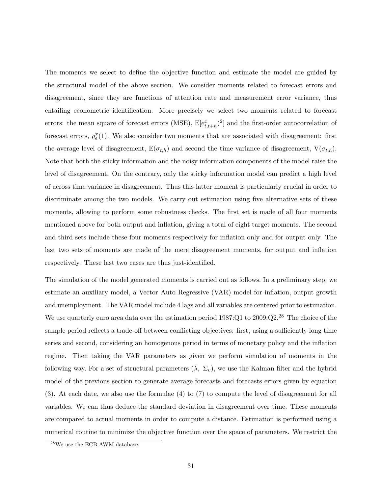The moments we select to define the objective function and estimate the model are guided by the structural model of the above section. We consider moments related to forecast errors and disagreement, since they are functions of attention rate and measurement error variance, thus entailing econometric identification. More precisely we select two moments related to forecast errors: the mean square of forecast errors (MSE),  $E[e_{t,t+h}^x]^2]$  and the first-order autocorrelation of forecast errors,  $\rho_e^x(1)$ . We also consider two moments that are associated with disagreement: first the average level of disagreement,  $E(\sigma_{t,h})$  and second the time variance of disagreement,  $V(\sigma_{t,h})$ . Note that both the sticky information and the noisy information components of the model raise the level of disagreement. On the contrary, only the sticky information model can predict a high level of across time variance in disagreement. Thus this latter moment is particularly crucial in order to discriminate among the two models. We carry out estimation using five alternative sets of these moments, allowing to perform some robustness checks. The first set is made of all four moments mentioned above for both output and inflation, giving a total of eight target moments. The second and third sets include these four moments respectively for inflation only and for output only. The last two sets of moments are made of the mere disagreement moments, for output and inflation respectively. These last two cases are thus just-identified.

The simulation of the model generated moments is carried out as follows. In a preliminary step, we estimate an auxiliary model, a Vector Auto Regressive (VAR) model for inflation, output growth and unemployment. The VAR model include 4 lags and all variables are centered prior to estimation. We use quarterly euro area data over the estimation period 1987:Q1 to 2009:Q2.<sup>28</sup> The choice of the sample period reflects a trade-off between conflicting objectives: first, using a sufficiently long time series and second, considering an homogenous period in terms of monetary policy and the inflation regime. Then taking the VAR parameters as given we perform simulation of moments in the following way. For a set of structural parameters  $(\lambda, \Sigma_v)$ , we use the Kalman filter and the hybrid model of the previous section to generate average forecasts and forecasts errors given by equation (3). At each date, we also use the formulae (4) to (7) to compute the level of disagreement for all variables. We can thus deduce the standard deviation in disagreement over time. These moments are compared to actual moments in order to compute a distance. Estimation is performed using a numerical routine to minimize the objective function over the space of parameters. We restrict the

 $^{28}\mathrm{We}$  use the ECB AWM database.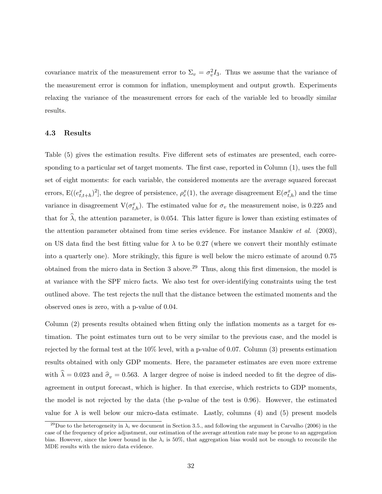covariance matrix of the measurement error to  $\Sigma_v = \sigma_v^2 I_3$ . Thus we assume that the variance of the measurement error is common for inflation, unemployment and output growth. Experiments relaxing the variance of the measurement errors for each of the variable led to broadly similar results.

#### 4.3 Results

Table (5) gives the estimation results. Five different sets of estimates are presented, each corresponding to a particular set of target moments. The first case, reported in Column (1), uses the full set of eight moments: for each variable, the considered moments are the average squared forecast errors,  $E((e_{t,t+h}^x)^2]$ , the degree of persistence,  $\rho_e^x(1)$ , the average disagreement  $E(\sigma_{t,h}^x)$  and the time variance in disagreement  $V(\sigma_{t,h}^x)$ . The estimated value for  $\sigma_v$  the measurement noise, is 0.225 and that for  $\hat{\lambda}$ , the attention parameter, is 0.054. This latter figure is lower than existing estimates of the attention parameter obtained from time series evidence. For instance Mankiw et al. (2003), on US data find the best fitting value for  $\lambda$  to be 0.27 (where we convert their monthly estimate into a quarterly one). More strikingly, this figure is well below the micro estimate of around 0.75 obtained from the micro data in Section 3 above.<sup>29</sup> Thus, along this first dimension, the model is at variance with the SPF micro facts. We also test for over-identifying constraints using the test outlined above. The test rejects the null that the distance between the estimated moments and the observed ones is zero, with a p-value of 0.04.

Column (2) presents results obtained when fitting only the inflation moments as a target for estimation. The point estimates turn out to be very similar to the previous case, and the model is rejected by the formal test at the 10% level, with a p-value of 0.07. Column (3) presents estimation results obtained with only GDP moments. Here, the parameter estimates are even more extreme with  $\hat{\lambda} = 0.023$  and  $\hat{\sigma}_v = 0.563$ . A larger degree of noise is indeed needed to fit the degree of disagreement in output forecast, which is higher. In that exercise, which restricts to GDP moments, the model is not rejected by the data (the p-value of the test is 0.96). However, the estimated value for  $\lambda$  is well below our micro-data estimate. Lastly, columns (4) and (5) present models

<sup>&</sup>lt;sup>29</sup>Due to the heterogeneity in  $\lambda_i$  we document in Section 3.5., and following the argument in Carvalho (2006) in the case of the frequency of price adjustment, our estimation of the average attention rate may be prone to an aggregation bias. However, since the lower bound in the  $\lambda_i$  is 50%, that aggregation bias would not be enough to reconcile the MDE results with the micro data evidence.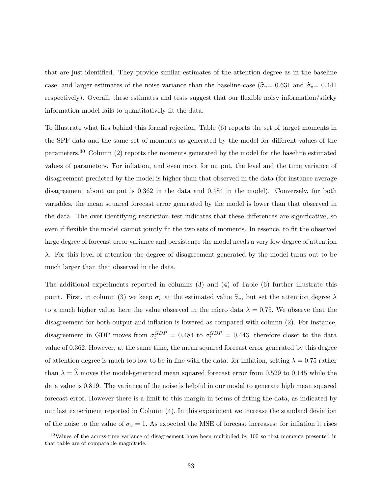that are just-identified. They provide similar estimates of the attention degree as in the baseline case, and larger estimates of the noise variance than the baseline case ( $\hat{\sigma}_v= 0.631$  and  $\hat{\sigma}_v= 0.441$ respectively). Overall, these estimates and tests suggest that our flexible noisy information/sticky information model fails to quantitatively fit the data.

To illustrate what lies behind this formal rejection, Table (6) reports the set of target moments in the SPF data and the same set of moments as generated by the model for different values of the parameters.<sup>30</sup> Column (2) reports the moments generated by the model for the baseline estimated values of parameters. For inflation, and even more for output, the level and the time variance of disagreement predicted by the model is higher than that observed in the data (for instance average disagreement about output is 0.362 in the data and 0.484 in the model). Conversely, for both variables, the mean squared forecast error generated by the model is lower than that observed in the data. The over-identifying restriction test indicates that these differences are significative, so even if flexible the model cannot jointly fit the two sets of moments. In essence, to fit the observed large degree of forecast error variance and persistence the model needs a very low degree of attention λ. For this level of attention the degree of disagreement generated by the model turns out to be much larger than that observed in the data.

The additional experiments reported in columns (3) and (4) of Table (6) further illustrate this point. First, in column (3) we keep  $\sigma_v$  at the estimated value  $\hat{\sigma}_v$ , but set the attention degree  $\lambda$ to a much higher value, here the value observed in the micro data  $\lambda = 0.75$ . We observe that the disagreement for both output and inflation is lowered as compared with column (2). For instance, disagreement in GDP moves from  $\sigma_t^{GDP} = 0.484$  to  $\sigma_t^{GDP} = 0.443$ , therefore closer to the data value of 0.362. However, at the same time, the mean squared forecast error generated by this degree of attention degree is much too low to be in line with the data: for inflation, setting  $\lambda = 0.75$  rather than  $\lambda = \hat{\lambda}$  moves the model-generated mean squared forecast error from 0.529 to 0.145 while the data value is 0.819. The variance of the noise is helpful in our model to generate high mean squared forecast error. However there is a limit to this margin in terms of fitting the data, as indicated by our last experiment reported in Column (4). In this experiment we increase the standard deviation of the noise to the value of  $\sigma_v = 1$ . As expected the MSE of forecast increases: for inflation it rises

<sup>&</sup>lt;sup>30</sup>Values of the across-time variance of disagreement have been multiplied by 100 so that moments presented in that table are of comparable magnitude.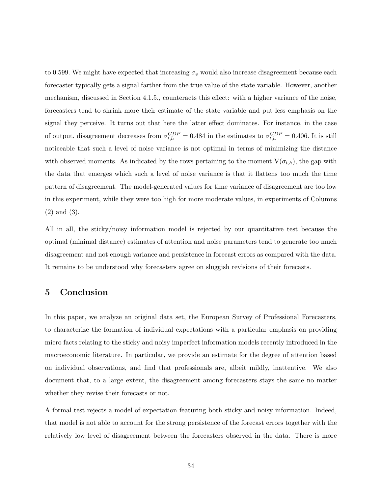to 0.599. We might have expected that increasing  $\sigma_v$  would also increase disagreement because each forecaster typically gets a signal farther from the true value of the state variable. However, another mechanism, discussed in Section 4.1.5., counteracts this effect: with a higher variance of the noise, forecasters tend to shrink more their estimate of the state variable and put less emphasis on the signal they perceive. It turns out that here the latter effect dominates. For instance, in the case of output, disagreement decreases from  $\sigma_{t,h}^{GDP} = 0.484$  in the estimates to  $\sigma_{t,h}^{GDP} = 0.406$ . It is still noticeable that such a level of noise variance is not optimal in terms of minimizing the distance with observed moments. As indicated by the rows pertaining to the moment  $V(\sigma_{t,h})$ , the gap with the data that emerges which such a level of noise variance is that it flattens too much the time pattern of disagreement. The model-generated values for time variance of disagreement are too low in this experiment, while they were too high for more moderate values, in experiments of Columns (2) and (3).

All in all, the sticky/noisy information model is rejected by our quantitative test because the optimal (minimal distance) estimates of attention and noise parameters tend to generate too much disagreement and not enough variance and persistence in forecast errors as compared with the data. It remains to be understood why forecasters agree on sluggish revisions of their forecasts.

## 5 Conclusion

In this paper, we analyze an original data set, the European Survey of Professional Forecasters, to characterize the formation of individual expectations with a particular emphasis on providing micro facts relating to the sticky and noisy imperfect information models recently introduced in the macroeconomic literature. In particular, we provide an estimate for the degree of attention based on individual observations, and find that professionals are, albeit mildly, inattentive. We also document that, to a large extent, the disagreement among forecasters stays the same no matter whether they revise their forecasts or not.

A formal test rejects a model of expectation featuring both sticky and noisy information. Indeed, that model is not able to account for the strong persistence of the forecast errors together with the relatively low level of disagreement between the forecasters observed in the data. There is more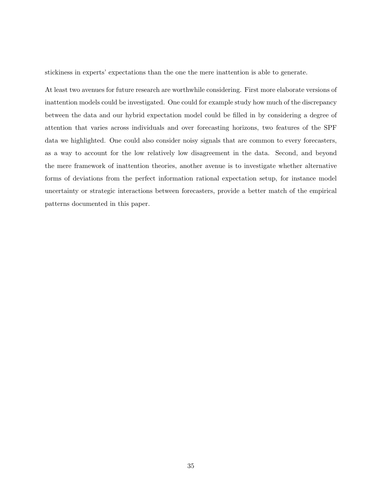stickiness in experts' expectations than the one the mere inattention is able to generate.

At least two avenues for future research are worthwhile considering. First more elaborate versions of inattention models could be investigated. One could for example study how much of the discrepancy between the data and our hybrid expectation model could be filled in by considering a degree of attention that varies across individuals and over forecasting horizons, two features of the SPF data we highlighted. One could also consider noisy signals that are common to every forecasters, as a way to account for the low relatively low disagreement in the data. Second, and beyond the mere framework of inattention theories, another avenue is to investigate whether alternative forms of deviations from the perfect information rational expectation setup, for instance model uncertainty or strategic interactions between forecasters, provide a better match of the empirical patterns documented in this paper.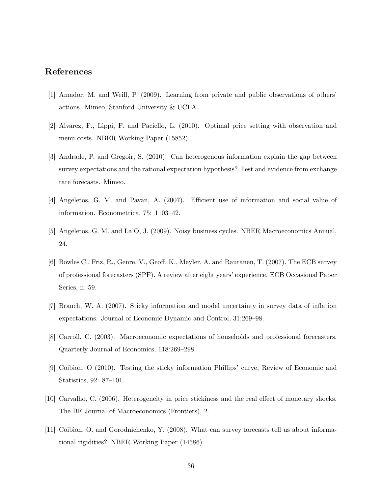## References

- [1] Amador, M. and Weill, P. (2009). Learning from private and public observations of others' actions. Mimeo, Stanford University & UCLA.
- [2] Alvarez, F., Lippi, F. and Paciello, L. (2010). Optimal price setting with observation and menu costs. NBER Working Paper (15852).
- [3] Andrade, P. and Gregoir, S. (2010). Can heterogenous information explain the gap between survey expectations and the rational expectation hypothesis? Test and evidence from exchange rate forecasts. Mimeo.
- [4] Angeletos, G. M. and Pavan, A. (2007). Efficient use of information and social value of information. Econometrica, 75: 1103–42.
- [5] Angeletos, G. M. and La'O, J. (2009). Noisy business cycles. NBER Macroeconomics Annual, 24.
- [6] Bowles C., Friz, R., Genre, V., Geoff, K., Meyler, A. and Rautanen, T. (2007). The ECB survey of professional forecasters (SPF). A review after eight years' experience. ECB Occasional Paper Series, n. 59.
- [7] Branch, W. A. (2007). Sticky information and model uncertainty in survey data of inflation expectations. Journal of Economic Dynamic and Control, 31:269–98.
- [8] Carroll, C. (2003). Macroeconomic expectations of households and professional forecasters. Quarterly Journal of Economics, 118:269–298.
- [9] Coibion, O (2010). Testing the sticky information Phillips' curve, Review of Economic and Statistics, 92: 87–101.
- [10] Carvalho, C. (2006). Heterogeneity in price stickiness and the real effect of monetary shocks. The BE Journal of Macroeconomics (Frontiers), 2.
- [11] Coibion, O. and Gorodnichenko, Y. (2008). What can survey forecasts tell us about informational rigidities? NBER Working Paper (14586).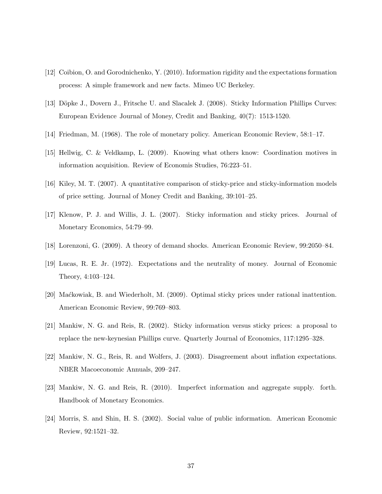- [12] Coibion, O. and Gorodnichenko, Y. (2010). Information rigidity and the expectations formation process: A simple framework and new facts. Mimeo UC Berkeley.
- [13] Döpke J., Dovern J., Fritsche U. and Slacalek J. (2008). Sticky Information Phillips Curves: European Evidence Journal of Money, Credit and Banking, 40(7): 1513-1520.
- [14] Friedman, M. (1968). The role of monetary policy. American Economic Review, 58:1–17.
- [15] Hellwig, C. & Veldkamp, L. (2009). Knowing what others know: Coordination motives in information acquisition. Review of Economis Studies, 76:223–51.
- [16] Kiley, M. T. (2007). A quantitative comparison of sticky-price and sticky-information models of price setting. Journal of Money Credit and Banking, 39:101–25.
- [17] Klenow, P. J. and Willis, J. L. (2007). Sticky information and sticky prices. Journal of Monetary Economics, 54:79–99.
- [18] Lorenzoni, G. (2009). A theory of demand shocks. American Economic Review, 99:2050–84.
- [19] Lucas, R. E. Jr. (1972). Expectations and the neutrality of money. Journal of Economic Theory, 4:103–124.
- [20] Ma´ckowiak, B. and Wiederholt, M. (2009). Optimal sticky prices under rational inattention. American Economic Review, 99:769–803.
- [21] Mankiw, N. G. and Reis, R. (2002). Sticky information versus sticky prices: a proposal to replace the new-keynesian Phillips curve. Quarterly Journal of Economics, 117:1295–328.
- [22] Mankiw, N. G., Reis, R. and Wolfers, J. (2003). Disagreement about inflation expectations. NBER Macoeconomic Annuals, 209–247.
- [23] Mankiw, N. G. and Reis, R. (2010). Imperfect information and aggregate supply. forth. Handbook of Monetary Economics.
- [24] Morris, S. and Shin, H. S. (2002). Social value of public information. American Economic Review, 92:1521–32.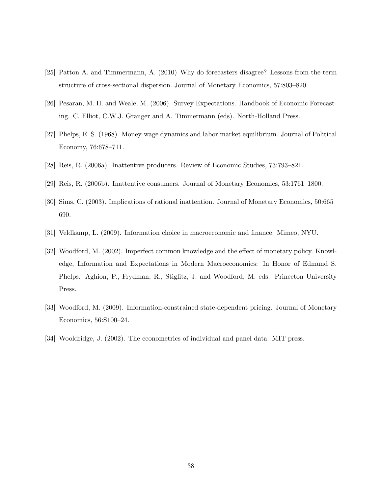- [25] Patton A. and Timmermann, A. (2010) Why do forecasters disagree? Lessons from the term structure of cross-sectional dispersion. Journal of Monetary Economics, 57:803–820.
- [26] Pesaran, M. H. and Weale, M. (2006). Survey Expectations. Handbook of Economic Forecasting. C. Elliot, C.W.J. Granger and A. Timmermann (eds). North-Holland Press.
- [27] Phelps, E. S. (1968). Money-wage dynamics and labor market equilibrium. Journal of Political Economy, 76:678–711.
- [28] Reis, R. (2006a). Inattentive producers. Review of Economic Studies, 73:793–821.
- [29] Reis, R. (2006b). Inattentive consumers. Journal of Monetary Economics, 53:1761–1800.
- [30] Sims, C. (2003). Implications of rational inattention. Journal of Monetary Economics, 50:665– 690.
- [31] Veldkamp, L. (2009). Information choice in macroeconomic and finance. Mimeo, NYU.
- [32] Woodford, M. (2002). Imperfect common knowledge and the effect of monetary policy. Knowledge, Information and Expectations in Modern Macroeconomics: In Honor of Edmund S. Phelps. Aghion, P., Frydman, R., Stiglitz, J. and Woodford, M. eds. Princeton University Press.
- [33] Woodford, M. (2009). Information-constrained state-dependent pricing. Journal of Monetary Economics, 56:S100–24.
- [34] Wooldridge, J. (2002). The econometrics of individual and panel data. MIT press.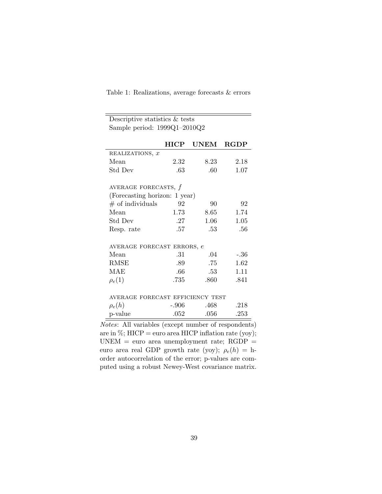| Descriptive statistics $&$ tests               |             |                            |             |  |  |  |  |
|------------------------------------------------|-------------|----------------------------|-------------|--|--|--|--|
| Sample period: $1999Q1-2010Q2$                 |             |                            |             |  |  |  |  |
|                                                | <b>HICP</b> | UNEM                       | <b>RGDP</b> |  |  |  |  |
| REALIZATIONS, x                                |             |                            |             |  |  |  |  |
| Mean                                           | 2.32        | 8.23                       | 2.18        |  |  |  |  |
| Std Dev                                        | .63         | .60                        | 1.07        |  |  |  |  |
| AVERAGE FORECASTS, $f$                         |             |                            |             |  |  |  |  |
| (Forecasting horizon: 1 year)                  |             |                            |             |  |  |  |  |
| $#$ of individuals                             | 92          | 90                         | 92          |  |  |  |  |
| Mean                                           | 1.73        | 8.65                       | 1.74        |  |  |  |  |
| Std Dev                                        | .27         | 1.06                       | $1.05\,$    |  |  |  |  |
| Resp. rate                                     | .57         | .53                        | .56         |  |  |  |  |
| AVERAGE FORECAST ERRORS, e                     |             |                            |             |  |  |  |  |
| Mean                                           | .31         | .04                        | $-.36$      |  |  |  |  |
| <b>RMSE</b>                                    | .89         | .75                        | 1.62        |  |  |  |  |
| MAE                                            | $.66\,$     | .53                        | 1.11        |  |  |  |  |
| $\rho_e(1)$                                    | .735        | .860                       | .841        |  |  |  |  |
| AVERAGE FORECAST EFFICIENCY TEST               |             |                            |             |  |  |  |  |
| $\rho_e(h)$                                    | $-.906$     | .468                       | .218        |  |  |  |  |
| p-value                                        | .052        | .056                       | .253        |  |  |  |  |
| $\cdot$ $\cdot$ $\cdot$ $\cdot$<br><b>A</b> 11 |             | $\mathbf{r}$<br>$\epsilon$ | п.          |  |  |  |  |

Table 1: Realizations, average forecasts & errors

Notes: All variables (except number of respondents) are in  $\%$ ; HICP = euro area HICP inflation rate (yoy);  $UNEM$  = euro area unemployment rate;  $RGDP$  = euro area real GDP growth rate (yoy);  $\rho_e(h) = h$ order autocorrelation of the error; p-values are computed using a robust Newey-West covariance matrix.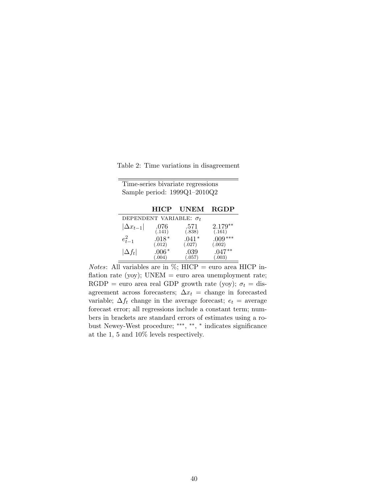Table 2: Time variations in disagreement

| Time-series bivariate regressions |                                |                   |                     |  |  |
|-----------------------------------|--------------------------------|-------------------|---------------------|--|--|
|                                   | Sample period: 1999Q1-2010Q2   |                   |                     |  |  |
|                                   |                                |                   |                     |  |  |
|                                   | <b>HICP</b>                    | UNEM              | <b>RGDP</b>         |  |  |
|                                   | DEPENDENT VARIABLE: $\sigma_t$ |                   |                     |  |  |
| $ \Delta x_{t-1} $                | .076<br>(.141)                 | .571<br>(.838)    | $2.179**$<br>(.161) |  |  |
| $e_{t-1}^2$                       | $.018*$<br>(.012)              | $.041*$<br>(.027) | .009<br>(.002)      |  |  |
| $\Delta f_t$                      | $.006*$<br>(.004)              | .039<br>(.057)    | $.047**$<br>0.003)  |  |  |

*Notes*: All variables are in  $\%$ ; HICP = euro area HICP inflation rate (yoy); UNEM = euro area unemployment rate; RGDP = euro area real GDP growth rate (yoy);  $\sigma_t =$  disagreement across forecasters;  $\Delta x_t$  = change in forecasted variable;  $\Delta f_t$  change in the average forecast;  $e_t$  = average forecast error; all regressions include a constant term; numbers in brackets are standard errors of estimates using a robust Newey-West procedure; ∗∗∗ , ∗∗ , ∗ indicates significance at the 1, 5 and 10% levels respectively.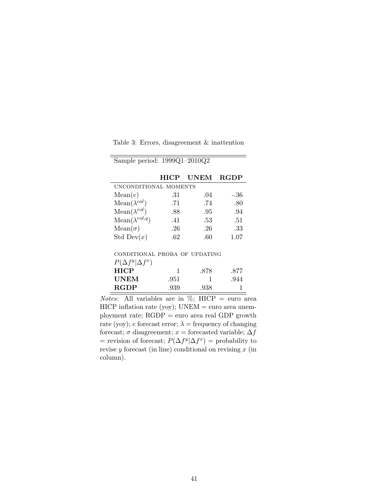|  |  | Table 3: Errors, disagreement $\&$ inattention |  |  |
|--|--|------------------------------------------------|--|--|
|--|--|------------------------------------------------|--|--|

|                         | <b>HICP</b>           | <b>UNEM</b> | <b>RGDP</b> |  |  |  |
|-------------------------|-----------------------|-------------|-------------|--|--|--|
|                         | UNCONDITIONAL MOMENTS |             |             |  |  |  |
| Mean(e)                 | .31                   | .04         | -.36        |  |  |  |
| $Mean(\lambda^{cal})$   | .71                   | .74         | .80         |  |  |  |
| $Mean(\lambda^{rol})$   | .88                   | .95         | .94         |  |  |  |
| $Mean(\lambda^{rol,q})$ | .41                   | .53         | .51         |  |  |  |
| $Mean(\sigma)$          | .26                   | .26         | .33         |  |  |  |
| Std Dev $(x)$           | -62                   | -60         | 1.07        |  |  |  |

Sample period: 1999Q1–2010Q2

| CONDITIONAL PROBA OF UPDATING |  |  |
|-------------------------------|--|--|

| $P(\Delta f^y \Delta f^x)$ |      |      |      |
|----------------------------|------|------|------|
| HICP                       |      | .878 | .877 |
| UNEM                       | -951 |      | .944 |
| <b>RGDP</b>                | .939 | .938 |      |

*Notes*: All variables are in  $\%$ ; HICP = euro area  $HICP$  inflation rate (yoy);  $UNEM = euro$  area unemployment rate; RGDP = euro area real GDP growth rate (yoy); e forecast error;  $\lambda$  = frequency of changing forecast;  $\sigma$  disagreement;  $x =$  forecasted variable;  $\Delta f$ = revision of forecast;  $P(\Delta f^y | \Delta f^x)$  = probability to revise  $y$  forecast (in line) conditional on revising  $x$  (in column).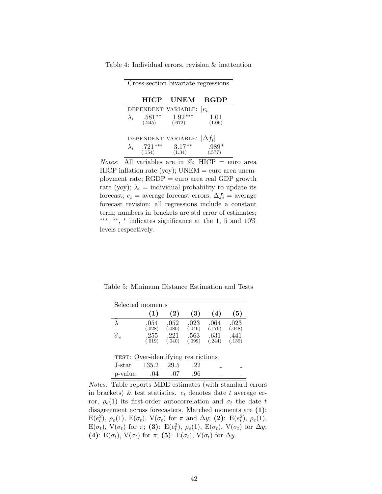|             |                       | Cross-section bivariate regressions |                |
|-------------|-----------------------|-------------------------------------|----------------|
|             | HICP                  | UNEM                                | <b>RGDP</b>    |
|             |                       | DEPENDENT VARIABLE:                 | $ e_i $        |
| $\lambda_i$ | $.581**$<br>$(.245)$  | $1.92***$<br>(.672)                 | 1.01<br>(1.06) |
|             |                       | DEPENDENT VARIABLE: $ \Delta f_i $  |                |
| $\lambda_i$ | $.721***$<br>$(.154)$ | $3.17**$<br>(1.34)                  | .989<br>(.577) |

Table 4: Individual errors, revision & inattention

*Notes*: All variables are in  $\%$ ; HICP = euro area  $HICP$  inflation rate (yoy);  $UNEM = euro$  area unemployment rate; RGDP = euro area real GDP growth rate (yoy);  $\lambda_i$  = individual probability to update its forecast;  $e_i$  = average forecast errors;  $\Delta f_i$  = average forecast revision; all regressions include a constant term; numbers in brackets are std error of estimates; ∗∗∗ , ∗∗ , ∗ indicates significance at the 1, 5 and 10% levels respectively.

Table 5: Minimum Distance Estimation and Tests

| Selected moments                    |                |                |                |                |                |  |
|-------------------------------------|----------------|----------------|----------------|----------------|----------------|--|
|                                     | (1)            | $\mathbf{2)}$  | (3)            | (4)            | (5)            |  |
|                                     | .054<br>(.028) | .052<br>(.080) | .023<br>(.046) | .064<br>(.176) | .023<br>(.048) |  |
| $\widehat{\sigma}_v$                | .255<br>(.019) | -221<br>(.040) | .563<br>(.099) | .631<br>(.244) | .441<br>(.139) |  |
| TEST: Over-identifying restrictions |                |                |                |                |                |  |
| J-stat                              | 135.2          | 29.5           | .22            |                |                |  |
| p-value                             | -04            |                | .96            |                |                |  |

Notes: Table reports MDE estimates (with standard errors in brackets) & test statistics.  $e_t$  denotes date t average error,  $\rho_e(1)$  its first-order autocorrelation and  $\sigma_t$  the date t disagreement across forecasters. Matched moments are (1):  $E(e_t^2), \rho_e(1), E(\sigma_t), V(\sigma_t)$  for  $\pi$  and  $\Delta y$ ; (2):  $E(e_t^2), \rho_e(1),$  $E(\sigma_t)$ ,  $V(\sigma_t)$  for  $\pi$ ; (3):  $E(e_t^2)$ ,  $\rho_e(1)$ ,  $E(\sigma_t)$ ,  $V(\sigma_t)$  for  $\Delta y$ ; (4):  $E(\sigma_t)$ ,  $V(\sigma_t)$  for  $\pi$ ; (5):  $E(\sigma_t)$ ,  $V(\sigma_t)$  for  $\Delta y$ .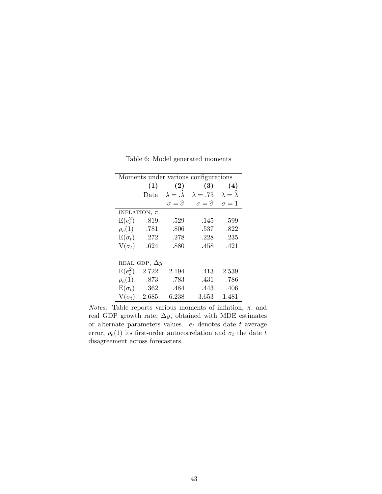| Moments under various configurations |       |                             |                             |                     |  |  |
|--------------------------------------|-------|-----------------------------|-----------------------------|---------------------|--|--|
|                                      | (1)   | (2)                         | (3)                         | (4)                 |  |  |
|                                      | Data  | $\lambda = \lambda$         | $\lambda=.75$               | $\lambda = \lambda$ |  |  |
|                                      |       | $\sigma = \widehat{\sigma}$ | $\sigma = \widehat{\sigma}$ | $\sigma=1$          |  |  |
| INFLATION, $\pi$                     |       |                             |                             |                     |  |  |
| $E(e_t^2)$                           | .819  | .529                        | .145                        | .599                |  |  |
| $\rho_e(1)$                          | .781  | .806                        | .537                        | .822                |  |  |
| $E(\sigma_t)$                        | .272  | .278                        | .228                        | .235                |  |  |
| $V(\sigma_t)$                        | .624  | .880                        | .458                        | .421                |  |  |
|                                      |       |                             |                             |                     |  |  |
| REAL GDP, $\Delta y$                 |       |                             |                             |                     |  |  |
| $E(e_t^2)$                           | 2.722 | 2.194                       | .413                        | 2.539               |  |  |
| $\rho_e(1)$                          | .873  | .783                        | .431                        | .786                |  |  |
| $E(\sigma_t)$                        | .362  | .484                        | .443                        | .406                |  |  |
| $V(\sigma_t)$                        | 2.685 | 6.238                       | 3.653                       | 1.481               |  |  |

Table 6: Model generated moments

*Notes*: Table reports various moments of inflation,  $\pi$ , and real GDP growth rate,  $\Delta y$ , obtained with MDE estimates or alternate parameters values.  $\,e_{t}$  denotes date  $t$  average error,  $\rho_e(1)$  its first-order autocorrelation and  $\sigma_t$  the date t disagreement across forecasters.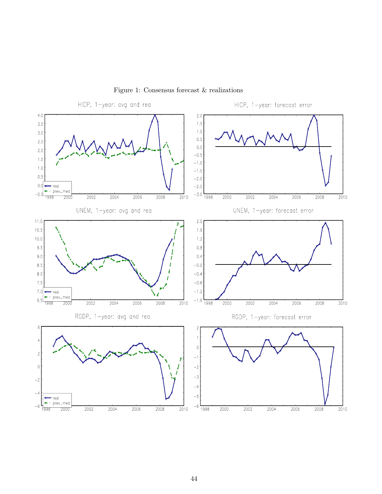

Figure 1: Consensus forecast & realizations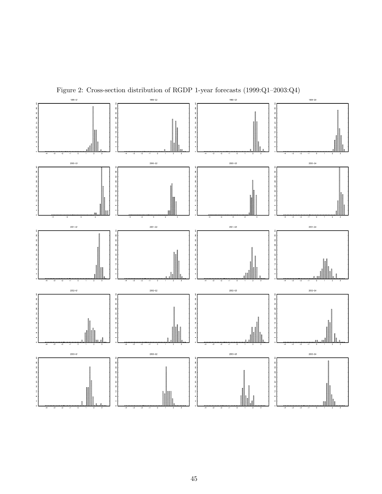

Figure 2: Cross-section distribution of RGDP 1-year forecasts (1999:Q1–2003:Q4)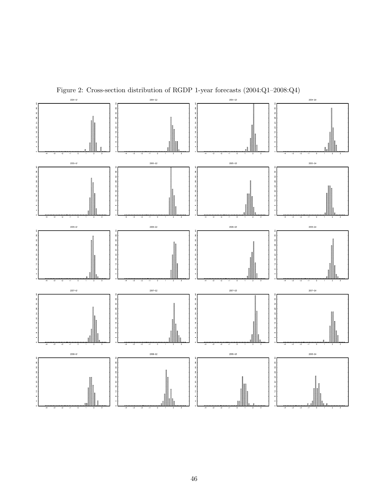

Figure 2: Cross-section distribution of RGDP 1-year forecasts (2004:Q1–2008:Q4)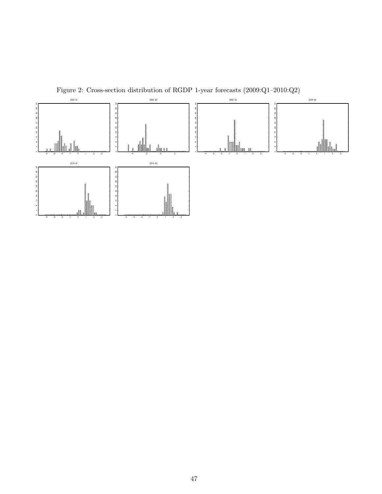

Figure 2: Cross-section distribution of RGDP 1-year forecasts (2009:Q1–2010:Q2)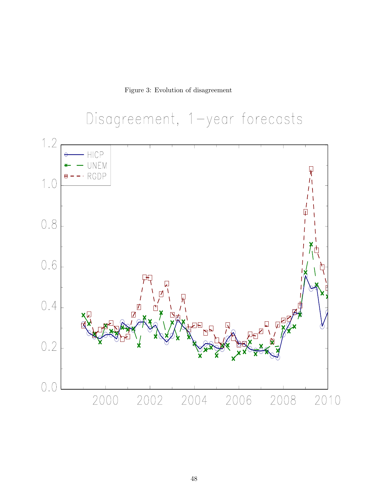Figure 3: Evolution of disagreement

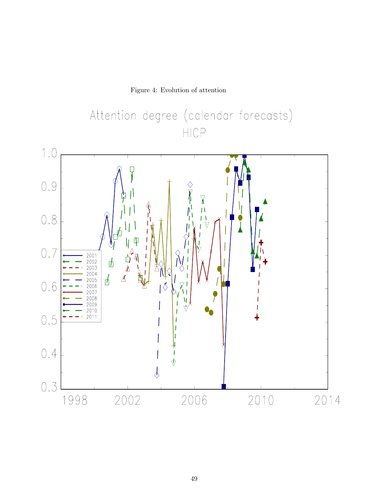Figure 4: Evolution of attention



Attention degree (calendar forecasts)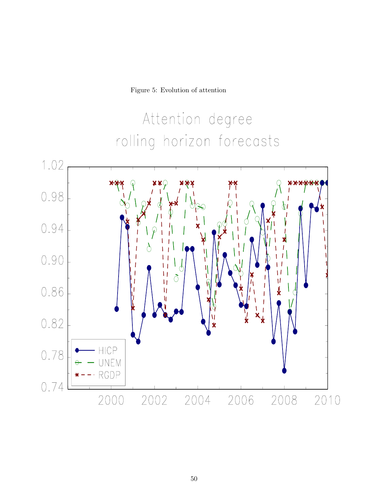Figure 5: Evolution of attention

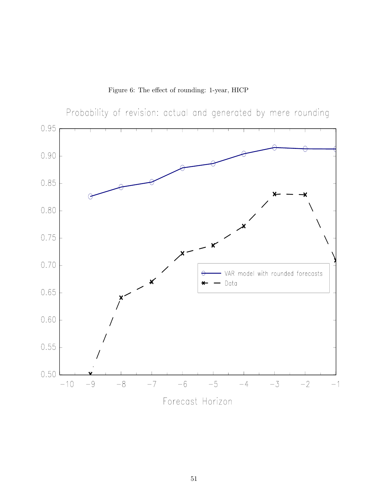Figure 6: The effect of rounding: 1-year, HICP

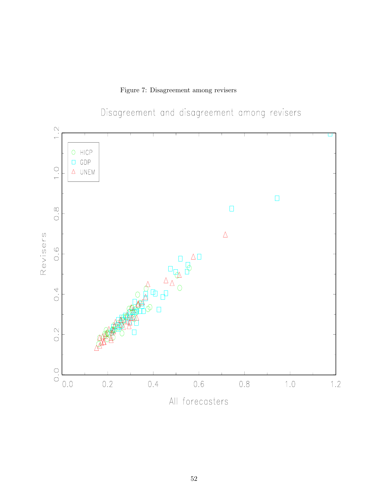Figure 7: Disagreement among revisers



Disagreement and disagreement among revisers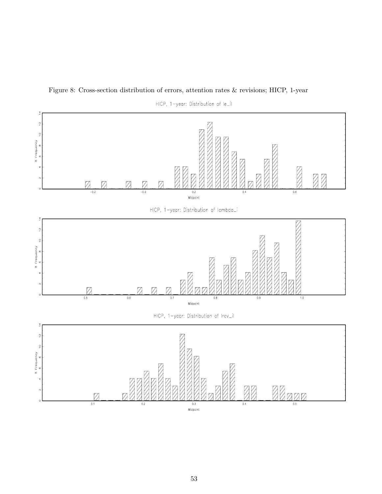

Figure 8: Cross-section distribution of errors, attention rates & revisions; HICP, 1-year